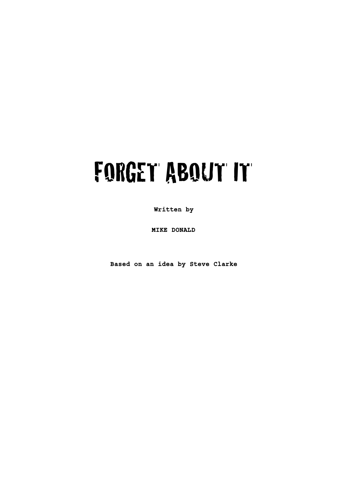# FORGET ABOUT IT

**Written by**

**MIKE DONALD**

**Based on an idea by Steve Clarke**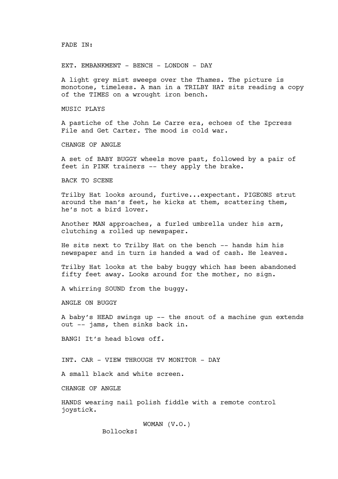#### FADE IN:

EXT. EMBANKMENT - BENCH - LONDON - DAY

A light grey mist sweeps over the Thames. The picture is monotone, timeless. A man in a TRILBY HAT sits reading a copy of the TIMES on a wrought iron bench.

MUSIC PLAYS

A pastiche of the John Le Carre era, echoes of the Ipcress File and Get Carter. The mood is cold war.

CHANGE OF ANGLE

A set of BABY BUGGY wheels move past, followed by a pair of feet in PINK trainers -- they apply the brake.

BACK TO SCENE

Trilby Hat looks around, furtive...expectant. PIGEONS strut around the man's feet, he kicks at them, scattering them, he's not a bird lover.

Another MAN approaches, a furled umbrella under his arm, clutching a rolled up newspaper.

He sits next to Trilby Hat on the bench -- hands him his newspaper and in turn is handed a wad of cash. He leaves.

Trilby Hat looks at the baby buggy which has been abandoned fifty feet away. Looks around for the mother, no sign.

A whirring SOUND from the buggy.

ANGLE ON BUGGY

A baby's HEAD swings up -- the snout of a machine gun extends out -- jams, then sinks back in.

BANG! It's head blows off.

INT. CAR - VIEW THROUGH TV MONITOR - DAY

A small black and white screen.

CHANGE OF ANGLE

HANDS wearing nail polish fiddle with a remote control joystick.

> WOMAN (V.O.) Bollocks!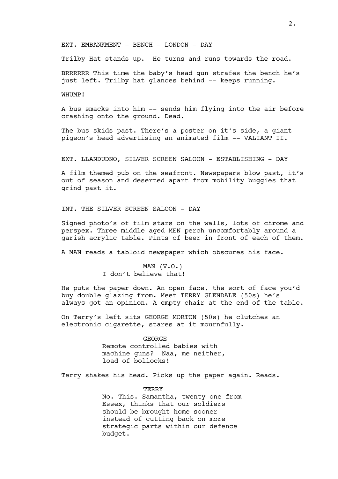EXT. EMBANKMENT - BENCH - LONDON - DAY

Trilby Hat stands up. He turns and runs towards the road.

BRRRRRR This time the baby's head gun strafes the bench he's just left. Trilby hat glances behind -- keeps running.

WHUMP!

A bus smacks into him -- sends him flying into the air before crashing onto the ground. Dead.

The bus skids past. There's a poster on it's side, a giant pigeon's head advertising an animated film -- VALIANT II.

EXT. LLANDUDNO, SILVER SCREEN SALOON - ESTABLISHING - DAY

A film themed pub on the seafront. Newspapers blow past, it's out of season and deserted apart from mobility buggies that grind past it.

INT. THE SILVER SCREEN SALOON - DAY

Signed photo's of film stars on the walls, lots of chrome and perspex. Three middle aged MEN perch uncomfortably around a garish acrylic table. Pints of beer in front of each of them.

A MAN reads a tabloid newspaper which obscures his face.

MAN  $(V.O.)$ I don't believe that!

He puts the paper down. An open face, the sort of face you'd buy double glazing from. Meet TERRY GLENDALE (50s) he's always got an opinion. A empty chair at the end of the table.

On Terry's left sits GEORGE MORTON (50s) he clutches an electronic cigarette, stares at it mournfully.

> GEORGE Remote controlled babies with machine guns? Naa, me neither, load of bollocks!

Terry shakes his head. Picks up the paper again. Reads.

#### TERRY

No. This. Samantha, twenty one from Essex, thinks that our soldiers should be brought home sooner instead of cutting back on more strategic parts within our defence budget.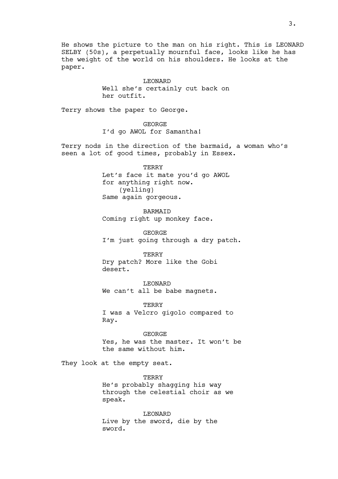He shows the picture to the man on his right. This is LEONARD SELBY (50s), a perpetually mournful face, looks like he has the weight of the world on his shoulders. He looks at the paper.

> LEONARD Well she's certainly cut back on her outfit.

Terry shows the paper to George.

GEORGE I'd go AWOL for Samantha!

Terry nods in the direction of the barmaid, a woman who's seen a lot of good times, probably in Essex.

> **TERRY** Let's face it mate you'd go AWOL for anything right now. (yelling) Same again gorgeous.

BARMAID Coming right up monkey face.

GEORGE I'm just going through a dry patch.

TERRY Dry patch? More like the Gobi desert.

LEONARD We can't all be babe magnets.

**TERRY** I was a Velcro gigolo compared to Ray.

GEORGE Yes, he was the master. It won't be the same without him.

They look at the empty seat.

TERRY He's probably shagging his way through the celestial choir as we speak.

LEONARD Live by the sword, die by the sword.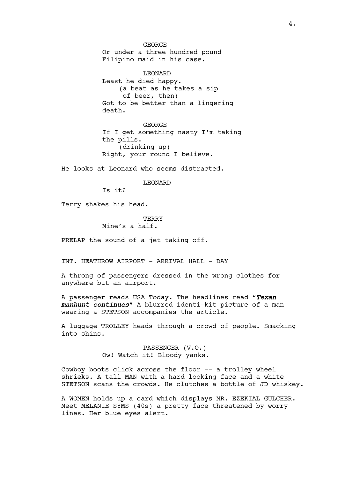GEORGE Or under a three hundred pound Filipino maid in his case.

LEONARD Least he died happy. (a beat as he takes a sip of beer, then) Got to be better than a lingering death.

GEORGE If I get something nasty I'm taking the pills. (drinking up) Right, your round I believe.

He looks at Leonard who seems distracted.

#### LEONARD

Is it?

Terry shakes his head.

#### **TERRY**

# Mine's a half.

PRELAP the sound of a jet taking off.

INT. HEATHROW AIRPORT - ARRIVAL HALL - DAY

A throng of passengers dressed in the wrong clothes for anywhere but an airport.

A passenger reads USA Today. The headlines read "*Texan manhunt continues"* A blurred identi-kit picture of a man wearing a STETSON accompanies the article.

A luggage TROLLEY heads through a crowd of people. Smacking into shins.

> PASSENGER (V.O.) Ow! Watch it! Bloody yanks.

Cowboy boots click across the floor -- a trolley wheel shrieks. A tall MAN with a hard looking face and a white STETSON scans the crowds. He clutches a bottle of JD whiskey.

A WOMEN holds up a card which displays MR. EZEKIAL GULCHER. Meet MELANIE SYMS (40s) a pretty face threatened by worry lines. Her blue eyes alert.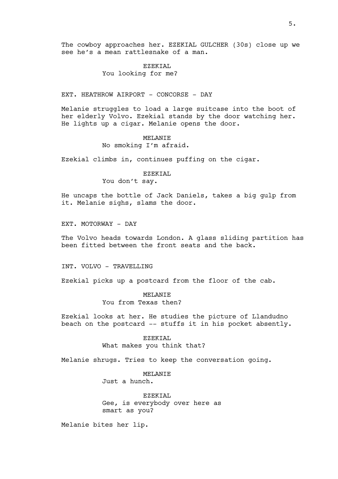The cowboy approaches her. EZEKIAL GULCHER (30s) close up we see he's a mean rattlesnake of a man.

# EZEKIAL You looking for me?

EXT. HEATHROW AIRPORT - CONCORSE - DAY

Melanie struggles to load a large suitcase into the boot of her elderly Volvo. Ezekial stands by the door watching her. He lights up a cigar. Melanie opens the door.

#### MELANIE

No smoking I'm afraid.

Ezekial climbs in, continues puffing on the cigar.

# EZEKIAL

You don't say.

He uncaps the bottle of Jack Daniels, takes a big gulp from it. Melanie sighs, slams the door.

EXT. MOTORWAY - DAY

The Volvo heads towards London. A glass sliding partition has been fitted between the front seats and the back.

INT. VOLVO - TRAVELLING

Ezekial picks up a postcard from the floor of the cab.

MELANIE You from Texas then?

Ezekial looks at her. He studies the picture of Llandudno beach on the postcard -- stuffs it in his pocket absently.

> EZEKIAL What makes you think that?

Melanie shrugs. Tries to keep the conversation going.

MELANIE Just a hunch.

EZEKIAL Gee, is everybody over here as smart as you?

Melanie bites her lip.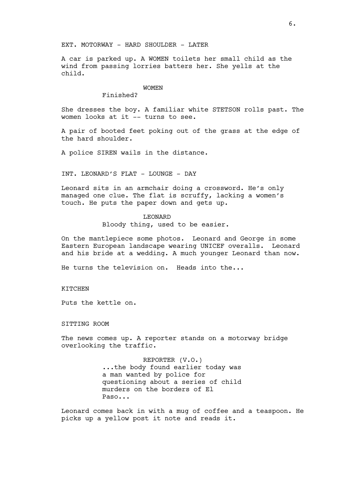EXT. MOTORWAY - HARD SHOULDER - LATER

A car is parked up. A WOMEN toilets her small child as the wind from passing lorries batters her. She yells at the child.

#### WOMEN

# Finished?

She dresses the boy. A familiar white STETSON rolls past. The women looks at it -- turns to see.

A pair of booted feet poking out of the grass at the edge of the hard shoulder.

A police SIREN wails in the distance.

INT. LEONARD'S FLAT - LOUNGE - DAY

Leonard sits in an armchair doing a crossword. He's only managed one clue. The flat is scruffy, lacking a women's touch. He puts the paper down and gets up.

#### LEONARD

Bloody thing, used to be easier.

On the mantlepiece some photos. Leonard and George in some Eastern European landscape wearing UNICEF overalls. Leonard and his bride at a wedding. A much younger Leonard than now.

He turns the television on. Heads into the...

# KITCHEN

Puts the kettle on.

SITTING ROOM

The news comes up. A reporter stands on a motorway bridge overlooking the traffic.

> REPORTER (V.O.) ...the body found earlier today was a man wanted by police for questioning about a series of child murders on the borders of El Paso...

Leonard comes back in with a mug of coffee and a teaspoon. He picks up a yellow post it note and reads it.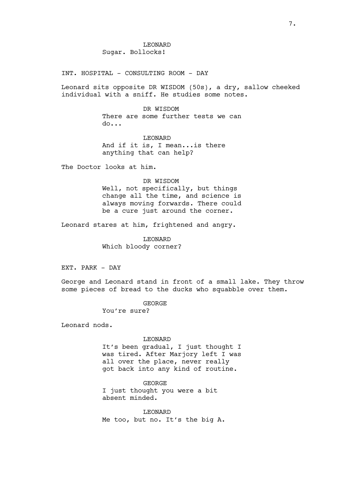INT. HOSPITAL - CONSULTING ROOM - DAY

Leonard sits opposite DR WISDOM (50s), a dry, sallow cheeked individual with a sniff. He studies some notes.

> DR WISDOM There are some further tests we can do...

LEONARD And if it is, I mean...is there anything that can help?

The Doctor looks at him.

#### DR WISDOM

Well, not specifically, but things change all the time, and science is always moving forwards. There could be a cure just around the corner.

Leonard stares at him, frightened and angry.

LEONARD Which bloody corner?

EXT. PARK - DAY

George and Leonard stand in front of a small lake. They throw some pieces of bread to the ducks who squabble over them.

GEORGE

You're sure?

Leonard nods.

# LEONARD

It's been gradual, I just thought I was tired. After Marjory left I was all over the place, never really got back into any kind of routine.

GEORGE I just thought you were a bit absent minded.

LEONARD Me too, but no. It's the big A.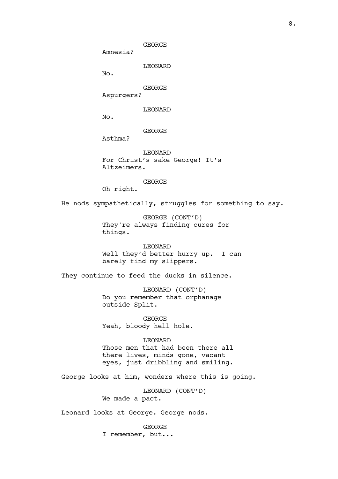GEORGE

Amnesia?

LEONARD

No.

GEORGE

Aspurgers?

LEONARD

No.

GEORGE

Asthma?

LEONARD For Christ's sake George! It's Altzeimers.

GEORGE

Oh right.

He nods sympathetically, struggles for something to say.

GEORGE (CONT'D) They're always finding cures for things.

LEONARD Well they'd better hurry up. I can barely find my slippers.

They continue to feed the ducks in silence.

LEONARD (CONT'D) Do you remember that orphanage outside Split.

GEORGE Yeah, bloody hell hole.

LEONARD Those men that had been there all there lives, minds gone, vacant eyes, just dribbling and smiling.

George looks at him, wonders where this is going.

LEONARD (CONT'D) We made a pact.

Leonard looks at George. George nods.

GEORGE

I remember, but...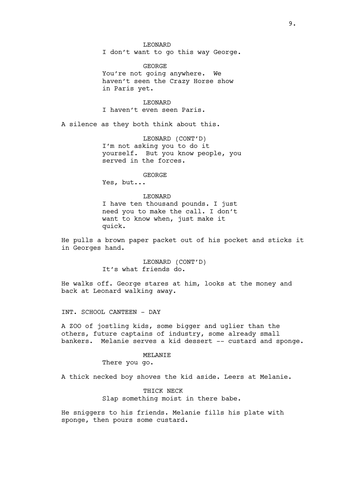#### LEONARD

I don't want to go this way George.

GEORGE You're not going anywhere. We haven't seen the Crazy Horse show in Paris yet.

LEONARD I haven't even seen Paris.

A silence as they both think about this.

LEONARD (CONT'D) I'm not asking you to do it yourself. But you know people, you served in the forces.

#### GEORGE

Yes, but...

#### LEONARD

I have ten thousand pounds. I just need you to make the call. I don't want to know when, just make it quick.

He pulls a brown paper packet out of his pocket and sticks it in Georges hand.

> LEONARD (CONT'D) It's what friends do.

He walks off. George stares at him, looks at the money and back at Leonard walking away.

INT. SCHOOL CANTEEN - DAY

A ZOO of jostling kids, some bigger and uglier than the others, future captains of industry, some already small bankers. Melanie serves a kid dessert -- custard and sponge.

# MELANIE

There you go.

A thick necked boy shoves the kid aside. Leers at Melanie.

# THICK NECK Slap something moist in there babe.

He sniggers to his friends. Melanie fills his plate with sponge, then pours some custard.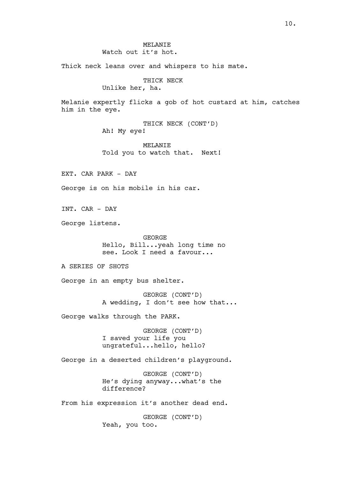# MELANIE Watch out it's hot.

Thick neck leans over and whispers to his mate.

# THICK NECK

Unlike her, ha.

Melanie expertly flicks a gob of hot custard at him, catches him in the eye.

> THICK NECK (CONT'D) Ah! My eye!

MELANIE Told you to watch that. Next!

EXT. CAR PARK - DAY

George is on his mobile in his car.

INT. CAR - DAY

George listens.

GEORGE Hello, Bill...yeah long time no see. Look I need a favour...

A SERIES OF SHOTS

George in an empty bus shelter.

GEORGE (CONT'D) A wedding, I don't see how that...

George walks through the PARK.

GEORGE (CONT'D) I saved your life you ungrateful...hello, hello?

George in a deserted children's playground.

GEORGE (CONT'D) He's dying anyway...what's the difference?

From his expression it's another dead end.

GEORGE (CONT'D) Yeah, you too.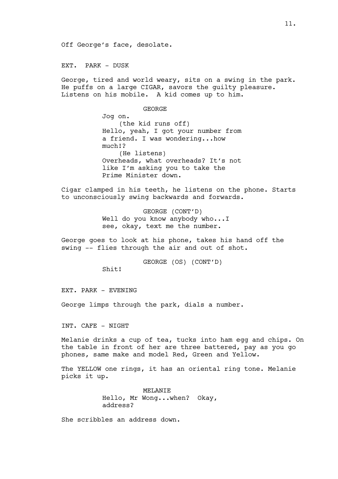Off George's face, desolate.

EXT. PARK - DUSK

George, tired and world weary, sits on a swing in the park. He puffs on a large CIGAR, savors the guilty pleasure. Listens on his mobile. A kid comes up to him.

GEORGE

Jog on. (the kid runs off) Hello, yeah, I got your number from a friend. I was wondering...how much!? (He listens) Overheads, what overheads? It's not like I'm asking you to take the Prime Minister down.

Cigar clamped in his teeth, he listens on the phone. Starts to unconsciously swing backwards and forwards.

> GEORGE (CONT'D) Well do you know anybody who...I see, okay, text me the number.

George goes to look at his phone, takes his hand off the swing -- flies through the air and out of shot.

GEORGE (OS) (CONT'D)

Shit!

EXT. PARK - EVENING

George limps through the park, dials a number.

INT. CAFE - NIGHT

Melanie drinks a cup of tea, tucks into ham egg and chips. On the table in front of her are three battered, pay as you go phones, same make and model Red, Green and Yellow.

The YELLOW one rings, it has an oriental ring tone. Melanie picks it up.

> MELANIE Hello, Mr Wong...when? Okay, address?

She scribbles an address down.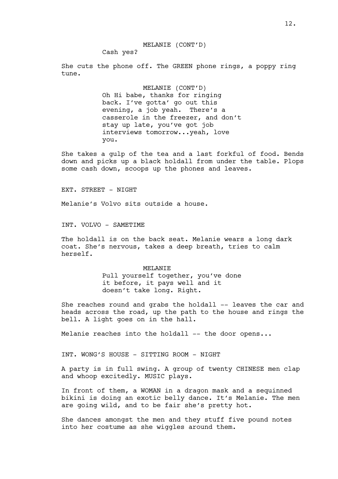Cash yes?

She cuts the phone off. The GREEN phone rings, a poppy ring tune.

> MELANIE (CONT'D) Oh Hi babe, thanks for ringing back. I've gotta' go out this evening, a job yeah. There's a casserole in the freezer, and don't stay up late, you've got job interviews tomorrow...yeah, love you.

She takes a gulp of the tea and a last forkful of food. Bends down and picks up a black holdall from under the table. Plops some cash down, scoops up the phones and leaves.

EXT. STREET - NIGHT

Melanie's Volvo sits outside a house.

INT. VOLVO - SAMETIME

The holdall is on the back seat. Melanie wears a long dark coat. She's nervous, takes a deep breath, tries to calm herself.

> MELANIE Pull yourself together, you've done it before, it pays well and it doesn't take long. Right.

She reaches round and grabs the holdall -- leaves the car and heads across the road, up the path to the house and rings the bell. A light goes on in the hall.

Melanie reaches into the holdall -- the door opens...

INT. WONG'S HOUSE - SITTING ROOM - NIGHT

A party is in full swing. A group of twenty CHINESE men clap and whoop excitedly. MUSIC plays.

In front of them, a WOMAN in a dragon mask and a sequinned bikini is doing an exotic belly dance. It's Melanie. The men are going wild, and to be fair she's pretty hot.

She dances amongst the men and they stuff five pound notes into her costume as she wiggles around them.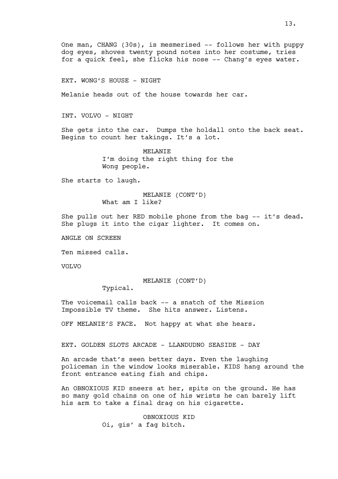One man, CHANG (30s), is mesmerised -- follows her with puppy dog eyes, shoves twenty pound notes into her costume, tries for a quick feel, she flicks his nose -- Chang's eyes water.

EXT. WONG'S HOUSE - NIGHT

Melanie heads out of the house towards her car.

INT. VOLVO - NIGHT

She gets into the car. Dumps the holdall onto the back seat. Begins to count her takings. It's a lot.

> MELANIE I'm doing the right thing for the Wong people.

She starts to laugh.

MELANIE (CONT'D) What am I like?

She pulls out her RED mobile phone from the bag -- it's dead. She plugs it into the cigar lighter. It comes on.

ANGLE ON SCREEN

Ten missed calls.

VOLVO

MELANIE (CONT'D)

Typical.

The voicemail calls back -- a snatch of the Mission Impossible TV theme. She hits answer. Listens.

OFF MELANIE'S FACE. Not happy at what she hears.

EXT. GOLDEN SLOTS ARCADE - LLANDUDNO SEASIDE - DAY

An arcade that's seen better days. Even the laughing policeman in the window looks miserable. KIDS hang around the front entrance eating fish and chips.

An OBNOXIOUS KID sneers at her, spits on the ground. He has so many gold chains on one of his wrists he can barely lift his arm to take a final drag on his cigarette.

> OBNOXIOUS KID Oi, gis' a fag bitch.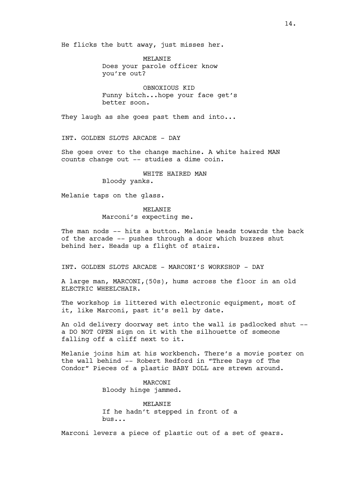He flicks the butt away, just misses her.

MELANIE Does your parole officer know you're out?

OBNOXIOUS KID Funny bitch...hope your face get's better soon.

They laugh as she goes past them and into...

INT. GOLDEN SLOTS ARCADE - DAY

She goes over to the change machine. A white haired MAN counts change out -- studies a dime coin.

> WHITE HAIRED MAN Bloody yanks.

Melanie taps on the glass.

MELANTE Marconi's expecting me.

The man nods -- hits a button. Melanie heads towards the back of the arcade -- pushes through a door which buzzes shut behind her. Heads up a flight of stairs.

INT. GOLDEN SLOTS ARCADE - MARCONI'S WORKSHOP - DAY

A large man, MARCONI,(50s), hums across the floor in an old ELECTRIC WHEELCHAIR.

The workshop is littered with electronic equipment, most of it, like Marconi, past it's sell by date.

An old delivery doorway set into the wall is padlocked shut - a DO NOT OPEN sign on it with the silhouette of someone falling off a cliff next to it.

Melanie joins him at his workbench. There's a movie poster on the wall behind -- Robert Redford in "Three Days of The Condor" Pieces of a plastic BABY DOLL are strewn around.

> MARCONI Bloody hinge jammed.

MELANIE If he hadn't stepped in front of a bus...

Marconi levers a piece of plastic out of a set of gears.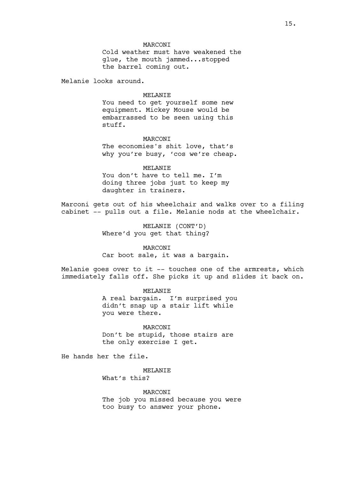# MARCONI

Cold weather must have weakened the glue, the mouth jammed...stopped the barrel coming out.

Melanie looks around.

## MELANIE

You need to get yourself some new equipment. Mickey Mouse would be embarrassed to be seen using this stuff.

# MARCONI

The economies's shit love, that's why you're busy, 'cos we're cheap.

MELANTE You don't have to tell me. I'm doing three jobs just to keep my daughter in trainers.

Marconi gets out of his wheelchair and walks over to a filing cabinet -- pulls out a file. Melanie nods at the wheelchair.

> MELANIE (CONT'D) Where'd you get that thing?

MARCONI Car boot sale, it was a bargain.

Melanie goes over to it -- touches one of the armrests, which immediately falls off. She picks it up and slides it back on.

> MELANIE A real bargain. I'm surprised you didn't snap up a stair lift while you were there.

MARCONI Don't be stupid, those stairs are the only exercise I get.

He hands her the file.

MELANIE

What's this?

MARCONI The job you missed because you were too busy to answer your phone.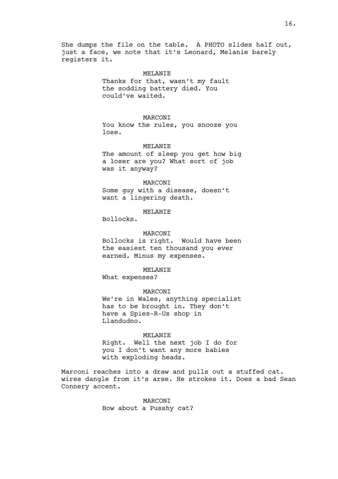She dumps the file on the table. A PHOTO slides half out, just a face, we note that it's Leonard, Melanie barely registers it.

#### MELANIE

Thanks for that, wasn't my fault the sodding battery died. You could've waited.

# **MARCONT**

You know the rules, you snooze you lose.

# MELANIE

The amount of sleep you get how big a loser are you? What sort of job was it anyway?

#### **MARCONT**

Some guy with a disease, doesn't want a lingering death.

# **MELANTE**

Bollocks.

# MARCONI

Bollocks is right. Would have been the easiest ten thousand you ever earned. Minus my expenses.

# MELANIE

What expenses?

#### MARCONI

We're in Wales, anything specialist has to be brought in. They don't have a Spies-R-Us shop in Llandudno.

#### MELANIE

Right. Well the next job I do for you I don't want any more babies with exploding heads.

Marconi reaches into a draw and pulls out a stuffed cat. wires dangle from it's arse. He strokes it. Does a bad Sean Connery accent.

> MARCONI How about a Pusshy cat?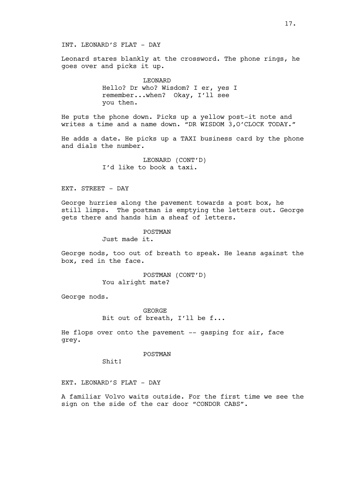Leonard stares blankly at the crossword. The phone rings, he goes over and picks it up.

> LEONARD Hello? Dr who? Wisdom? I er, yes I remember...when? Okay, I'll see you then.

He puts the phone down. Picks up a yellow post-it note and writes a time and a name down. "DR WISDOM 3,O'CLOCK TODAY."

He adds a date. He picks up a TAXI business card by the phone and dials the number.

> LEONARD (CONT'D) I'd like to book a taxi.

# EXT. STREET - DAY

George hurries along the pavement towards a post box, he still limps. The postman is emptying the letters out. George gets there and hands him a sheaf of letters.

#### POSTMAN

Just made it.

George nods, too out of breath to speak. He leans against the box, red in the face.

> POSTMAN (CONT'D) You alright mate?

George nods.

GEORGE Bit out of breath, I'll be f...

He flops over onto the pavement -- gasping for air, face grey.

#### POSTMAN

Shit!

EXT. LEONARD'S FLAT - DAY

A familiar Volvo waits outside. For the first time we see the sign on the side of the car door "CONDOR CABS".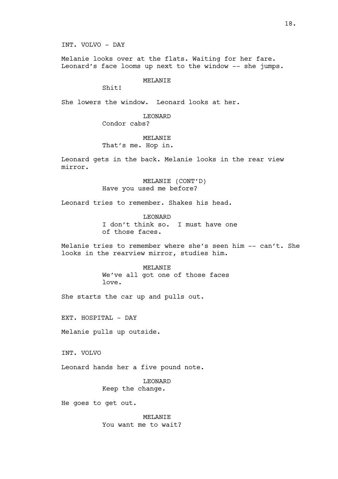INT. VOLVO - DAY

Melanie looks over at the flats. Waiting for her fare. Leonard's face looms up next to the window -- she jumps.

# MELANTE

Shit!

She lowers the window. Leonard looks at her.

LEONARD

Condor cabs?

# MELANIE

That's me. Hop in.

Leonard gets in the back. Melanie looks in the rear view mirror.

> MELANIE (CONT'D) Have you used me before?

Leonard tries to remember. Shakes his head.

LEONARD I don't think so. I must have one of those faces.

Melanie tries to remember where she's seen him -- can't. She looks in the rearview mirror, studies him.

#### MELANIE

We've all got one of those faces love.

She starts the car up and pulls out.

EXT. HOSPITAL - DAY

Melanie pulls up outside.

INT. VOLVO

Leonard hands her a five pound note.

LEONARD Keep the change.

He goes to get out.

MELANIE You want me to wait?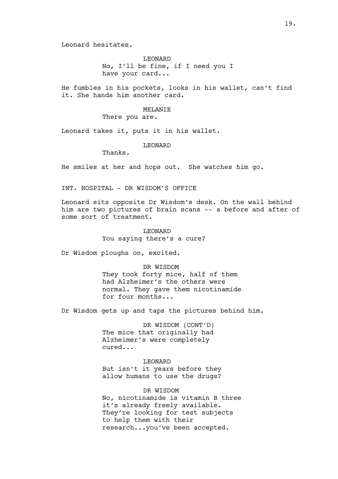Leonard hesitates.

LEONARD No, I'll be fine, if I need you I have your card...

He fumbles in his pockets, looks in his wallet, can't find it. She hands him another card.

# MELANIE

There you are.

Leonard takes it, puts it in his wallet.

#### LEONARD

Thanks.

He smiles at her and hops out. She watches him go.

INT. HOSPITAL - DR WISDOM'S OFFICE

Leonard sits opposite Dr Wisdom's desk. On the wall behind him are two pictures of brain scans -- a before and after of some sort of treatment.

> LEONARD You saying there's a cure?

Dr Wisdom ploughs on, excited.

#### DR WISDOM

They took forty mice, half of them had Alzheimer's the others were normal. They gave them nicotinamide for four months...

Dr Wisdom gets up and taps the pictures behind him.

DR WISDOM (CONT'D) The mice that originally had Alzheimer's were completely cured...

#### LEONARD

But isn't it years before they allow humans to use the drugs?

DR WISDOM No, nicotinamide is vitamin B three

it's already freely available. They're looking for test subjects to help them with their research...you've been accepted.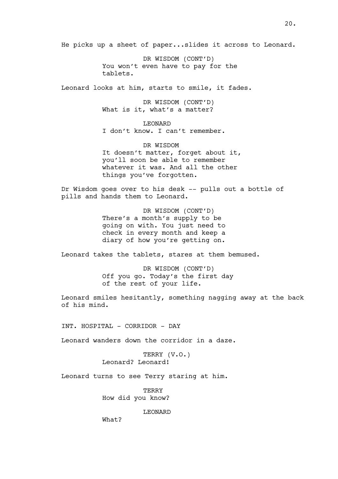He picks up a sheet of paper...slides it across to Leonard.

DR WISDOM (CONT'D) You won't even have to pay for the tablets.

Leonard looks at him, starts to smile, it fades.

DR WISDOM (CONT'D) What is it, what's a matter?

**LEONARD** I don't know. I can't remember.

DR WISDOM It doesn't matter, forget about it, you'll soon be able to remember whatever it was. And all the other things you've forgotten.

Dr Wisdom goes over to his desk -- pulls out a bottle of pills and hands them to Leonard.

> DR WISDOM (CONT'D) There's a month's supply to be going on with. You just need to check in every month and keep a diary of how you're getting on.

Leonard takes the tablets, stares at them bemused.

DR WISDOM (CONT'D) Off you go. Today's the first day of the rest of your life.

Leonard smiles hesitantly, something nagging away at the back of his mind.

INT. HOSPITAL - CORRIDOR - DAY

Leonard wanders down the corridor in a daze.

TERRY (V.O.) Leonard? Leonard!

Leonard turns to see Terry staring at him.

**TERRY** How did you know?

LEONARD

What?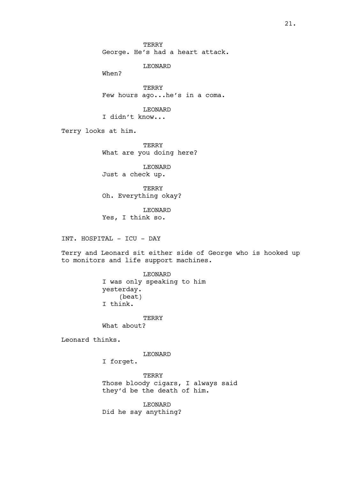TERRY George. He's had a heart attack.

LEONARD

When?

TERRY Few hours ago...he's in a coma.

LEONARD I didn't know...

Terry looks at him.

TERRY What are you doing here?

LEONARD Just a check up.

TERRY Oh. Everything okay?

LEONARD Yes, I think so.

INT. HOSPITAL - ICU - DAY

Terry and Leonard sit either side of George who is hooked up to monitors and life support machines.

> LEONARD I was only speaking to him yesterday. (beat) I think.

TERRY What about?

Leonard thinks.

LEONARD

I forget.

TERRY Those bloody cigars, I always said they'd be the death of him.

LEONARD Did he say anything?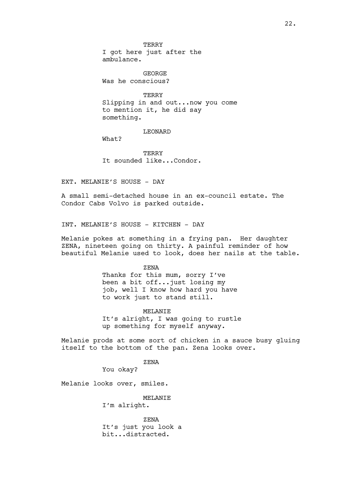**TERRY** I got here just after the ambulance.

GEORGE Was he conscious?

**TERRY** Slipping in and out...now you come to mention it, he did say something.

#### LEONARD

What?

TERRY It sounded like...Condor.

EXT. MELANIE'S HOUSE - DAY

A small semi-detached house in an ex-council estate. The Condor Cabs Volvo is parked outside.

INT. MELANIE'S HOUSE - KITCHEN - DAY

Melanie pokes at something in a frying pan. Her daughter ZENA, nineteen going on thirty. A painful reminder of how beautiful Melanie used to look, does her nails at the table.

ZENA

Thanks for this mum, sorry I've been a bit off...just losing my job, well I know how hard you have to work just to stand still.

MELANIE It's alright, I was going to rustle up something for myself anyway.

Melanie prods at some sort of chicken in a sauce busy gluing itself to the bottom of the pan. Zena looks over.

ZENA

You okay?

Melanie looks over, smiles.

MELANIE

I'm alright.

ZENA It's just you look a bit...distracted.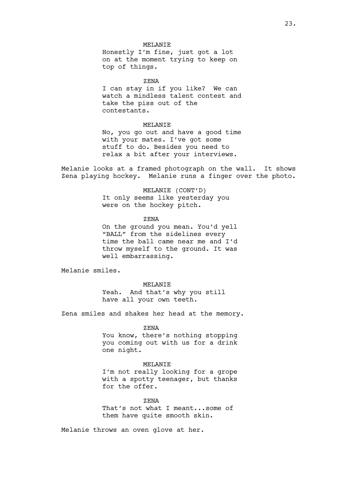# MELANIE

Honestly I'm fine, just got a lot on at the moment trying to keep on top of things.

ZENA

I can stay in if you like? We can watch a mindless talent contest and take the piss out of the contestants.

# MELANIE

No, you go out and have a good time with your mates. I've got some stuff to do. Besides you need to relax a bit after your interviews.

Melanie looks at a framed photograph on the wall. It shows Zena playing hockey. Melanie runs a finger over the photo.

> MELANIE (CONT'D) It only seems like yesterday you were on the hockey pitch.

> > ZENA

On the ground you mean. You'd yell "BALL" from the sidelines every time the ball came near me and I'd throw myself to the ground. It was well embarrassing.

Melanie smiles.

MELANTE Yeah. And that's why you still have all your own teeth.

Zena smiles and shakes her head at the memory.

#### ZENA

You know, there's nothing stopping you coming out with us for a drink one night.

# MELANIE

I'm not really looking for a grope with a spotty teenager, but thanks for the offer.

ZENA

That's not what I meant...some of them have quite smooth skin.

Melanie throws an oven glove at her.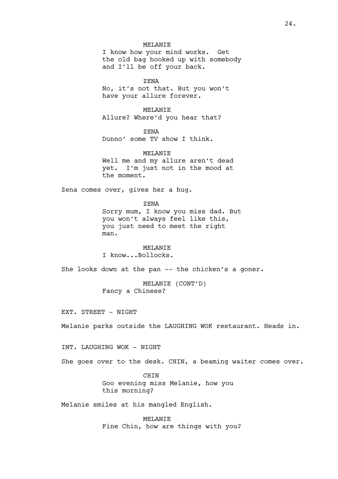# MELANIE

I know how your mind works. Get the old bag hooked up with somebody and I'll be off your back.

ZENA

No, it's not that. But you won't have your allure forever.

MELANIE Allure? Where'd you hear that?

ZENA Dunno' some TV show I think.

MELANIE Well me and my allure aren't dead yet. I'm just not in the mood at the moment.

Zena comes over, gives her a hug.

ZENA Sorry mum, I know you miss dad. But you won't always feel like this, you just need to meet the right man.

**MELANTE** I know...Bollocks.

She looks down at the pan -- the chicken's a goner.

MELANIE (CONT'D) Fancy a Chinese?

EXT. STREET - NIGHT

Melanie parks outside the LAUGHING WOK restaurant. Heads in.

INT. LAUGHING WOK - NIGHT

She goes over to the desk. CHIN, a beaming waiter comes over.

CHIN Goo evening miss Melanie, how you this morning?

Melanie smiles at his mangled English.

MELANIE Fine Chin, how are things with you?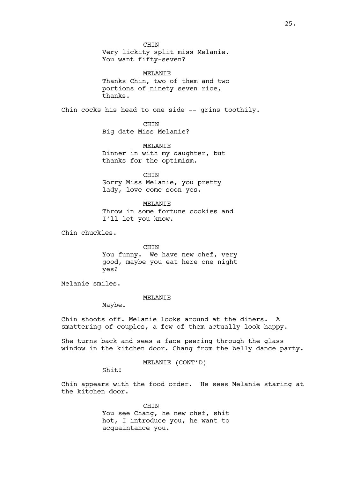CHIN Very lickity split miss Melanie. You want fifty-seven?

MELANIE Thanks Chin, two of them and two portions of ninety seven rice, thanks.

Chin cocks his head to one side -- grins toothily.

CHIN Big date Miss Melanie?

MELANIE Dinner in with my daughter, but thanks for the optimism.

CHIN Sorry Miss Melanie, you pretty lady, love come soon yes.

MELANIE Throw in some fortune cookies and I'll let you know.

Chin chuckles.

CHIN You funny. We have new chef, very good, maybe you eat here one night yes?

Melanie smiles.

# MELANIE

Maybe.

Chin shoots off. Melanie looks around at the diners. A smattering of couples, a few of them actually look happy.

She turns back and sees a face peering through the glass window in the kitchen door. Chang from the belly dance party.

MELANIE (CONT'D)

Shit!

Chin appears with the food order. He sees Melanie staring at the kitchen door.

> **CHTN** You see Chang, he new chef, shit hot, I introduce you, he want to acquaintance you.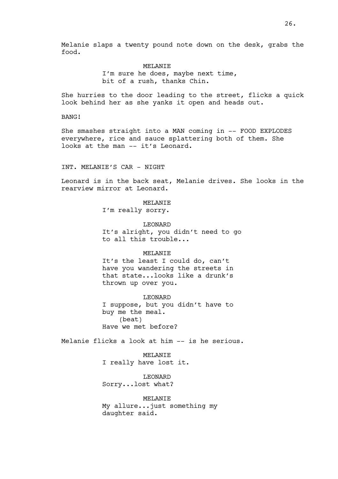Melanie slaps a twenty pound note down on the desk, grabs the food.

> MELANIE I'm sure he does, maybe next time, bit of a rush, thanks Chin.

She hurries to the door leading to the street, flicks a quick look behind her as she yanks it open and heads out.

BANG!

She smashes straight into a MAN coming in -- FOOD EXPLODES everywhere, rice and sauce splattering both of them. She looks at the man -- it's Leonard.

INT. MELANIE'S CAR - NIGHT

Leonard is in the back seat, Melanie drives. She looks in the rearview mirror at Leonard.

> MELANIE I'm really sorry.

LEONARD It's alright, you didn't need to go to all this trouble...

#### MELANTE

It's the least I could do, can't have you wandering the streets in that state...looks like a drunk's thrown up over you.

LEONARD I suppose, but you didn't have to buy me the meal. (beat) Have we met before?

Melanie flicks a look at him -- is he serious.

MELANIE I really have lost it.

LEONARD Sorry...lost what?

MELANIE My allure...just something my daughter said.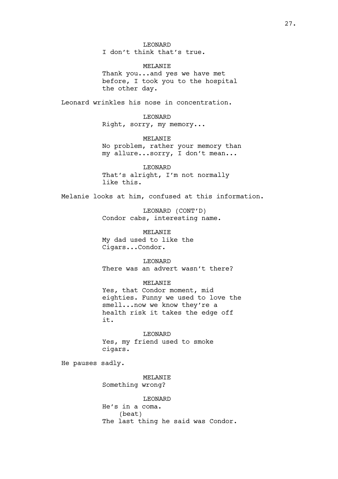LEONARD I don't think that's true.

MELANIE Thank you...and yes we have met before, I took you to the hospital the other day.

Leonard wrinkles his nose in concentration.

LEONARD Right, sorry, my memory...

MELANIE No problem, rather your memory than my allure...sorry, I don't mean...

LEONARD That's alright, I'm not normally like this.

Melanie looks at him, confused at this information.

LEONARD (CONT'D) Condor cabs, interesting name.

MELANIE My dad used to like the Cigars...Condor.

LEONARD There was an advert wasn't there?

MELANIE Yes, that Condor moment, mid eighties. Funny we used to love the smell...now we know they're a health risk it takes the edge off it.

LEONARD Yes, my friend used to smoke cigars.

He pauses sadly.

MELANIE Something wrong?

LEONARD He's in a coma. (beat) The last thing he said was Condor.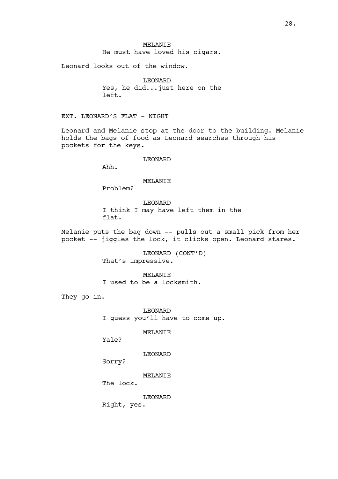MELANIE He must have loved his cigars.

Leonard looks out of the window.

LEONARD Yes, he did...just here on the left.

EXT. LEONARD'S FLAT - NIGHT

Leonard and Melanie stop at the door to the building. Melanie holds the bags of food as Leonard searches through his pockets for the keys.

LEONARD

Ahh.

# MELANIE

Problem?

LEONARD I think I may have left them in the flat.

Melanie puts the bag down -- pulls out a small pick from her pocket -- jiggles the lock, it clicks open. Leonard stares.

> LEONARD (CONT'D) That's impressive.

MELANIE I used to be a locksmith.

They go in.

LEONARD I guess you'll have to come up.

MELANIE

Yale?

LEONARD

Sorry?

MELANIE

The lock.

LEONARD

Right, yes.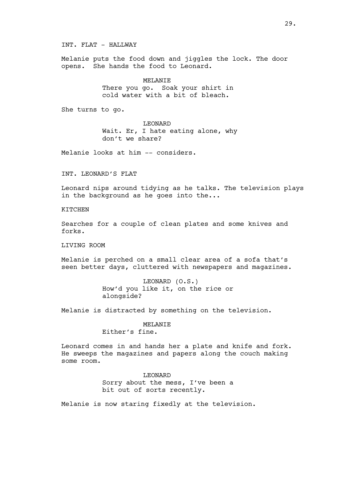INT. FLAT - HALLWAY

Melanie puts the food down and jiggles the lock. The door opens. She hands the food to Leonard.

MELANIE

There you go. Soak your shirt in cold water with a bit of bleach.

She turns to go.

LEONARD Wait. Er, I hate eating alone, why don't we share?

Melanie looks at him -- considers.

INT. LEONARD'S FLAT

Leonard nips around tidying as he talks. The television plays in the background as he goes into the...

**KITCHEN** 

Searches for a couple of clean plates and some knives and forks.

LIVING ROOM

Melanie is perched on a small clear area of a sofa that's seen better days, cluttered with newspapers and magazines.

> LEONARD (O.S.) How'd you like it, on the rice or alongside?

Melanie is distracted by something on the television.

# MELANIE

Either's fine.

Leonard comes in and hands her a plate and knife and fork. He sweeps the magazines and papers along the couch making some room.

> LEONARD Sorry about the mess, I've been a bit out of sorts recently.

Melanie is now staring fixedly at the television.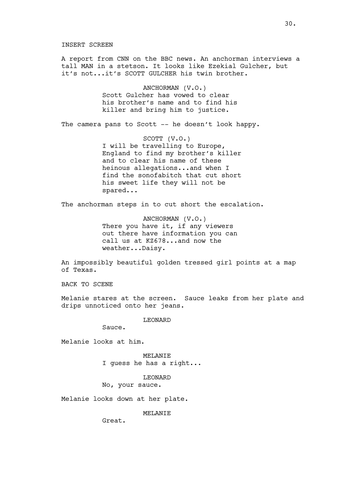A report from CNN on the BBC news. An anchorman interviews a tall MAN in a stetson. It looks like Ezekial Gulcher, but it's not...it's SCOTT GULCHER his twin brother.

> ANCHORMAN (V.O.) Scott Gulcher has vowed to clear his brother's name and to find his killer and bring him to justice.

The camera pans to Scott -- he doesn't look happy.

SCOTT (V.O.) I will be travelling to Europe, England to find my brother's killer and to clear his name of these heinous allegations...and when I find the sonofabitch that cut short his sweet life they will not be spared...

The anchorman steps in to cut short the escalation.

ANCHORMAN (V.O.) There you have it, if any viewers out there have information you can call us at KZ678...and now the weather...Daisy.

An impossibly beautiful golden tressed girl points at a map of Texas.

BACK TO SCENE

Melanie stares at the screen. Sauce leaks from her plate and drips unnoticed onto her jeans.

LEONARD

Sauce.

Melanie looks at him.

MELANIE I guess he has a right...

LEONARD No, your sauce.

Melanie looks down at her plate.

MELANIE

Great.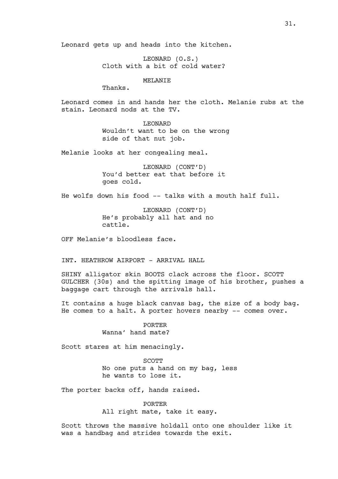Leonard gets up and heads into the kitchen.

LEONARD (O.S.) Cloth with a bit of cold water?

MELANIE

Thanks.

Leonard comes in and hands her the cloth. Melanie rubs at the stain. Leonard nods at the TV.

> LEONARD Wouldn't want to be on the wrong side of that nut job.

Melanie looks at her congealing meal.

LEONARD (CONT'D) You'd better eat that before it goes cold.

He wolfs down his food -- talks with a mouth half full.

LEONARD (CONT'D) He's probably all hat and no cattle.

OFF Melanie's bloodless face.

INT. HEATHROW AIRPORT - ARRIVAL HALL

SHINY alligator skin BOOTS clack across the floor. SCOTT GULCHER (30s) and the spitting image of his brother, pushes a baggage cart through the arrivals hall.

It contains a huge black canvas bag, the size of a body bag. He comes to a halt. A porter hovers nearby -- comes over.

> PORTER Wanna' hand mate?

Scott stares at him menacingly.

SCOTT No one puts a hand on my bag, less he wants to lose it.

The porter backs off, hands raised.

**PORTER** 

All right mate, take it easy.

Scott throws the massive holdall onto one shoulder like it was a handbag and strides towards the exit.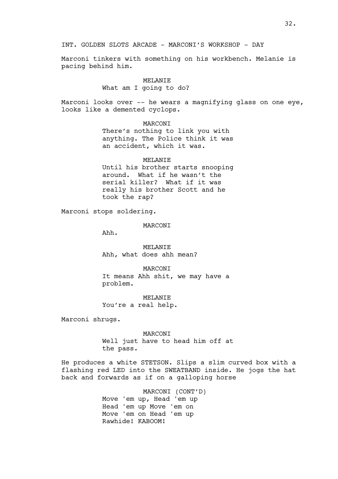Marconi tinkers with something on his workbench. Melanie is pacing behind him.

#### MELANTE

#### What am I going to do?

Marconi looks over  $-$ - he wears a magnifying glass on one eye, looks like a demented cyclops.

MARCONI

There's nothing to link you with anything. The Police think it was an accident, which it was.

# MELANTE

Until his brother starts snooping around. What if he wasn't the serial killer? What if it was really his brother Scott and he took the rap?

Marconi stops soldering.

MARCONI

Ahh.

MELANIE Ahh, what does ahh mean?

MARCONI It means Ahh shit, we may have a problem.

MELANIE You're a real help.

Marconi shrugs.

MARCONI Well just have to head him off at the pass.

He produces a white STETSON. Slips a slim curved box with a flashing red LED into the SWEATBAND inside. He jogs the hat back and forwards as if on a galloping horse

> MARCONI (CONT'D) Move 'em up, Head 'em up Head 'em up Move 'em on Move 'em on Head 'em up Rawhide! KABOOM!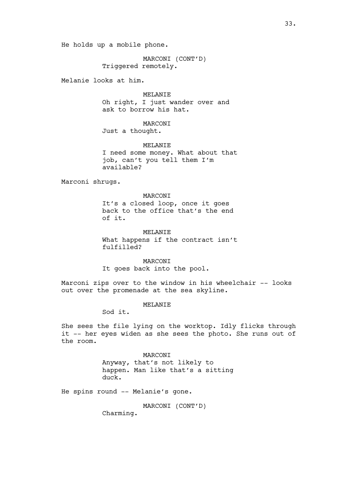He holds up a mobile phone.

MARCONI (CONT'D) Triggered remotely.

Melanie looks at him.

MELANTE Oh right, I just wander over and ask to borrow his hat.

MARCONI Just a thought.

MELANTE I need some money. What about that job, can't you tell them I'm available?

Marconi shrugs.

# MARCONI

It's a closed loop, once it goes back to the office that's the end of it.

MELANIE

What happens if the contract isn't fulfilled?

MARCONI It goes back into the pool.

Marconi zips over to the window in his wheelchair -- looks out over the promenade at the sea skyline.

#### MELANIE

Sod it.

She sees the file lying on the worktop. Idly flicks through it -- her eyes widen as she sees the photo. She runs out of the room.

> MARCONI Anyway, that's not likely to happen. Man like that's a sitting duck.

He spins round -- Melanie's gone.

MARCONI (CONT'D)

Charming.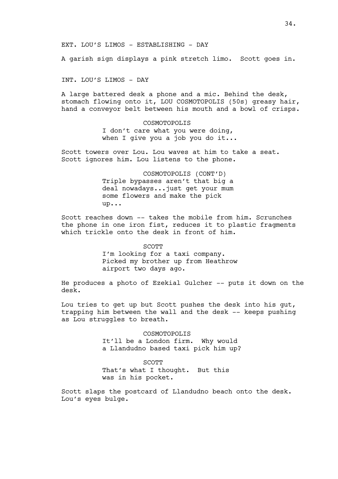A garish sign displays a pink stretch limo. Scott goes in.

INT. LOU'S LIMOS - DAY

A large battered desk a phone and a mic. Behind the desk, stomach flowing onto it, LOU COSMOTOPOLIS (50s) greasy hair, hand a conveyor belt between his mouth and a bowl of crisps.

> COSMOTOPOLIS I don't care what you were doing, when I give you a job you do it...

Scott towers over Lou. Lou waves at him to take a seat. Scott ignores him. Lou listens to the phone.

> COSMOTOPOLIS (CONT'D) Triple bypasses aren't that big a deal nowadays...just get your mum some flowers and make the pick up...

Scott reaches down -- takes the mobile from him. Scrunches the phone in one iron fist, reduces it to plastic fragments which trickle onto the desk in front of him.

SCOTT

I'm looking for a taxi company. Picked my brother up from Heathrow airport two days ago.

He produces a photo of Ezekial Gulcher -- puts it down on the desk.

Lou tries to get up but Scott pushes the desk into his gut, trapping him between the wall and the desk -- keeps pushing as Lou struggles to breath.

> COSMOTOPOLIS It'll be a London firm. Why would a Llandudno based taxi pick him up?

SCOTT That's what I thought. But this was in his pocket.

Scott slaps the postcard of Llandudno beach onto the desk. Lou's eyes bulge.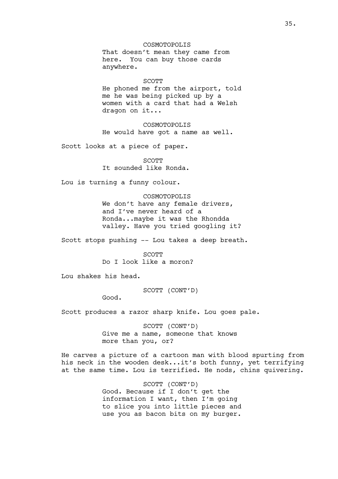COSMOTOPOLIS That doesn't mean they came from here. You can buy those cards anywhere.

SCOTT

He phoned me from the airport, told me he was being picked up by a women with a card that had a Welsh dragon on it...

COSMOTOPOLIS He would have got a name as well.

Scott looks at a piece of paper.

**SCOTT** It sounded like Ronda.

Lou is turning a funny colour.

COSMOTOPOLIS We don't have any female drivers, and I've never heard of a Ronda...maybe it was the Rhondda valley. Have you tried googling it?

Scott stops pushing -- Lou takes a deep breath.

SCOTT Do I look like a moron?

Lou shakes his head.

SCOTT (CONT'D)

Good.

Scott produces a razor sharp knife. Lou goes pale.

SCOTT (CONT'D) Give me a name, someone that knows more than you, or?

He carves a picture of a cartoon man with blood spurting from his neck in the wooden desk...it's both funny, yet terrifying at the same time. Lou is terrified. He nods, chins quivering.

> SCOTT (CONT'D) Good. Because if I don't get the information I want, then I'm going to slice you into little pieces and use you as bacon bits on my burger.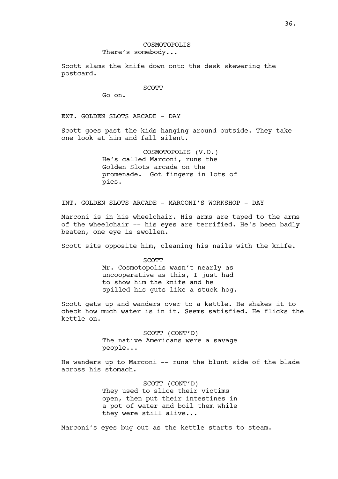Scott slams the knife down onto the desk skewering the postcard.

#### SCOTT

Go on.

EXT. GOLDEN SLOTS ARCADE - DAY

Scott goes past the kids hanging around outside. They take one look at him and fall silent.

> COSMOTOPOLIS (V.O.) He's called Marconi, runs the Golden Slots arcade on the promenade. Got fingers in lots of pies.

INT. GOLDEN SLOTS ARCADE - MARCONI'S WORKSHOP - DAY

Marconi is in his wheelchair. His arms are taped to the arms of the wheelchair -- his eyes are terrified. He's been badly beaten, one eye is swollen.

Scott sits opposite him, cleaning his nails with the knife.

SCOTT Mr. Cosmotopolis wasn't nearly as uncooperative as this, I just had to show him the knife and he spilled his guts like a stuck hog.

Scott gets up and wanders over to a kettle. He shakes it to check how much water is in it. Seems satisfied. He flicks the kettle on.

> SCOTT (CONT'D) The native Americans were a savage people...

He wanders up to Marconi -- runs the blunt side of the blade across his stomach.

> SCOTT (CONT'D) They used to slice their victims open, then put their intestines in a pot of water and boil them while they were still alive...

Marconi's eyes bug out as the kettle starts to steam.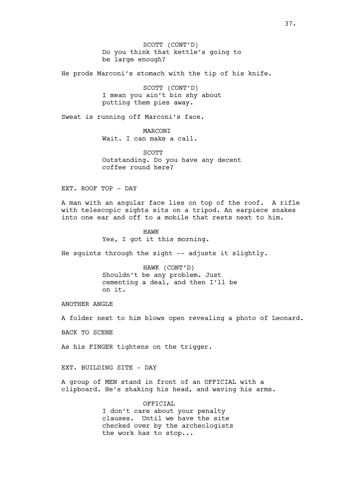SCOTT (CONT'D) Do you think that kettle's going to be large enough?

He prods Marconi's stomach with the tip of his knife.

SCOTT (CONT'D) I mean you ain't bin shy about putting them pies away.

Sweat is running off Marconi's face.

MARCONI Wait. I can make a call.

SCOTT Outstanding. Do you have any decent coffee round here?

EXT. ROOF TOP - DAY

A man with an angular face lies on top of the roof. A rifle with telescopic sights sits on a tripod. An earpiece snakes into one ear and off to a mobile that rests next to him.

> HAWK Yes, I got it this morning.

He squints through the sight -- adjusts it slightly.

HAWK (CONT'D) Shouldn't be any problem. Just cementing a deal, and then I'll be on it.

ANOTHER ANGLE

A folder next to him blows open revealing a photo of Leonard.

BACK TO SCENE

As his FINGER tightens on the trigger.

EXT. BUILDING SITE - DAY

A group of MEN stand in front of an OFFICIAL with a clipboard. He's shaking his head, and waving his arms.

> OFFICIAL I don't care about your penalty clauses. Until we have the site checked over by the archeologists the work has to stop...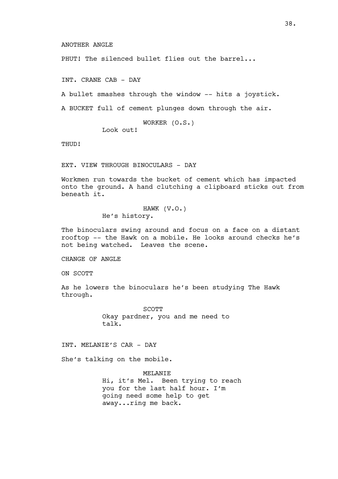PHUT! The silenced bullet flies out the barrel...

INT. CRANE CAB - DAY

A bullet smashes through the window -- hits a joystick.

A BUCKET full of cement plunges down through the air.

WORKER (O.S.) Look out!

THUD!

EXT. VIEW THROUGH BINOCULARS - DAY

Workmen run towards the bucket of cement which has impacted onto the ground. A hand clutching a clipboard sticks out from beneath it.

> HAWK (V.O.) He's history.

The binoculars swing around and focus on a face on a distant rooftop -- the Hawk on a mobile. He looks around checks he's not being watched. Leaves the scene.

CHANGE OF ANGLE

ON SCOTT

As he lowers the binoculars he's been studying The Hawk through.

> SCOTT Okay pardner, you and me need to talk.

INT. MELANIE'S CAR - DAY

She's talking on the mobile.

MELANIE Hi, it's Mel. Been trying to reach you for the last half hour. I'm going need some help to get away...ring me back.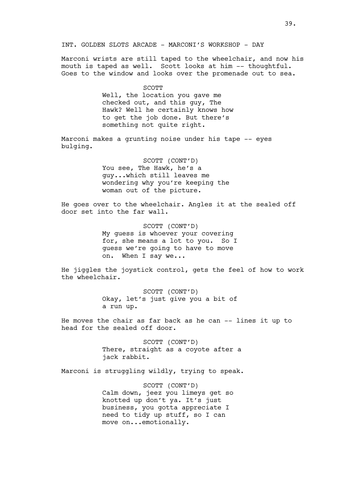# INT. GOLDEN SLOTS ARCADE - MARCONI'S WORKSHOP - DAY

Marconi wrists are still taped to the wheelchair, and now his mouth is taped as well. Scott looks at him -- thoughtful. Goes to the window and looks over the promenade out to sea.

> SCOTT Well, the location you gave me checked out, and this guy, The Hawk? Well he certainly knows how to get the job done. But there's something not quite right.

Marconi makes a grunting noise under his tape -- eyes bulging.

> SCOTT (CONT'D) You see, The Hawk, he's a guy...which still leaves me wondering why you're keeping the woman out of the picture.

He goes over to the wheelchair. Angles it at the sealed off door set into the far wall.

> SCOTT (CONT'D) My guess is whoever your covering for, she means a lot to you. So I guess we're going to have to move on. When I say we...

He jiggles the joystick control, gets the feel of how to work the wheelchair.

> SCOTT (CONT'D) Okay, let's just give you a bit of a run up.

He moves the chair as far back as he can -- lines it up to head for the sealed off door.

> SCOTT (CONT'D) There, straight as a coyote after a jack rabbit.

Marconi is struggling wildly, trying to speak.

SCOTT (CONT'D) Calm down, jeez you limeys get so knotted up don't ya. It's just business, you gotta appreciate I need to tidy up stuff, so I can move on...emotionally.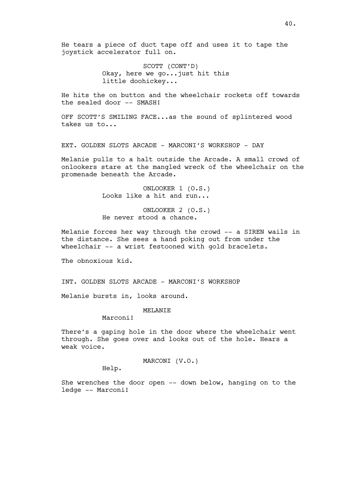He tears a piece of duct tape off and uses it to tape the joystick accelerator full on.

> SCOTT (CONT'D) Okay, here we go...just hit this little doohickey...

He hits the on button and the wheelchair rockets off towards the sealed door -- SMASH!

OFF SCOTT'S SMILING FACE...as the sound of splintered wood takes us to...

EXT. GOLDEN SLOTS ARCADE - MARCONI'S WORKSHOP - DAY

Melanie pulls to a halt outside the Arcade. A small crowd of onlookers stare at the mangled wreck of the wheelchair on the promenade beneath the Arcade.

> ONLOOKER 1 (O.S.) Looks like a hit and run...

> ONLOOKER 2 (O.S.) He never stood a chance.

Melanie forces her way through the crowd -- a SIREN wails in the distance. She sees a hand poking out from under the wheelchair -- a wrist festooned with gold bracelets.

The obnoxious kid.

INT. GOLDEN SLOTS ARCADE - MARCONI'S WORKSHOP

Melanie bursts in, looks around.

MELANIE

Marconi!

There's a gaping hole in the door where the wheelchair went through. She goes over and looks out of the hole. Hears a weak voice.

MARCONI (V.O.)

Help.

She wrenches the door open -- down below, hanging on to the ledge -- Marconi!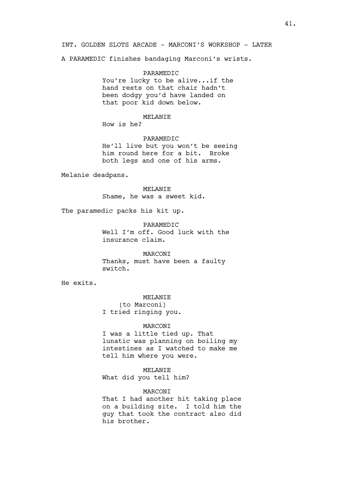### INT. GOLDEN SLOTS ARCADE - MARCONI'S WORKSHOP - LATER

A PARAMEDIC finishes bandaging Marconi's wrists.

PARAMEDIC You're lucky to be alive...if the hand rests on that chair hadn't been dodgy you'd have landed on that poor kid down below.

# MELANIE

How is he?

# PARAMEDIC

He'll live but you won't be seeing him round here for a bit. Broke both legs and one of his arms.

Melanie deadpans.

MELANIE Shame, he was a sweet kid.

The paramedic packs his kit up.

PARAMEDIC Well I'm off. Good luck with the insurance claim.

MARCONI Thanks, must have been a faulty switch.

He exits.

### MELANIE

(to Marconi) I tried ringing you.

### MARCONI

I was a little tied up. That lunatic was planning on boiling my intestines as I watched to make me tell him where you were.

# MELANIE

What did you tell him?

### MARCONI

That I had another hit taking place on a building site. I told him the guy that took the contract also did his brother.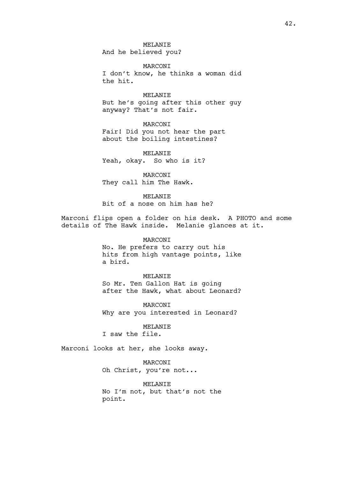MELANIE And he believed you?

MARCONI I don't know, he thinks a woman did the hit.

MELANIE But he's going after this other guy anyway? That's not fair.

MARCONI Fair! Did you not hear the part about the boiling intestines?

MELANIE Yeah, okay. So who is it?

MARCONI They call him The Hawk.

### MELANIE

Bit of a nose on him has he?

Marconi flips open a folder on his desk. A PHOTO and some details of The Hawk inside. Melanie glances at it.

# MARCONI

No. He prefers to carry out his hits from high vantage points, like a bird.

#### MELANIE

So Mr. Ten Gallon Hat is going after the Hawk, what about Leonard?

MARCONI Why are you interested in Leonard?

MELANIE

I saw the file.

Marconi looks at her, she looks away.

MARCONI Oh Christ, you're not...

MELANIE No I'm not, but that's not the point.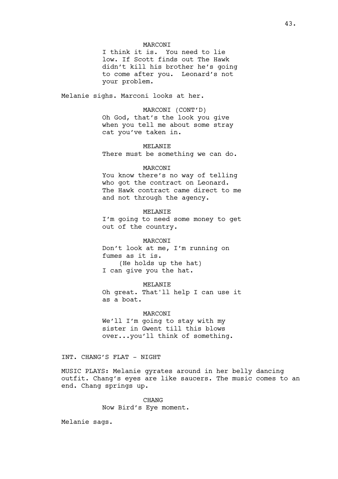### MARCONI

I think it is. You need to lie low. If Scott finds out The Hawk didn't kill his brother he's going to come after you. Leonard's not your problem.

Melanie sighs. Marconi looks at her.

# MARCONI (CONT'D) Oh God, that's the look you give when you tell me about some stray cat you've taken in.

### MELANIE

There must be something we can do.

### **MARCONT**

You know there's no way of telling who got the contract on Leonard. The Hawk contract came direct to me and not through the agency.

### MELANIE

I'm going to need some money to get out of the country.

### MARCONI

Don't look at me, I'm running on fumes as it is. (He holds up the hat) I can give you the hat.

#### MELANIE

Oh great. That'll help I can use it as a boat.

### MARCONI

We'll I'm going to stay with my sister in Gwent till this blows over...you'll think of something.

### INT. CHANG'S FLAT - NIGHT

MUSIC PLAYS: Melanie gyrates around in her belly dancing outfit. Chang's eyes are like saucers. The music comes to an end. Chang springs up.

> CHANG Now Bird's Eye moment.

Melanie sags.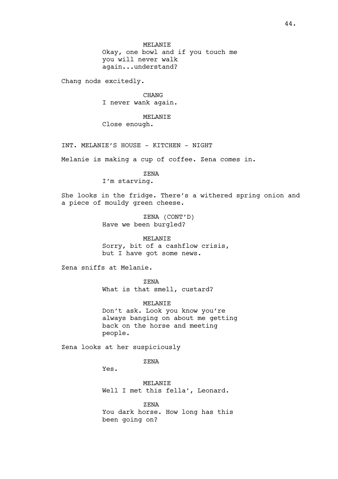MELANIE Okay, one bowl and if you touch me you will never walk again...understand?

Chang nods excitedly.

CHANG I never wank again.

MELANIE

Close enough.

INT. MELANIE'S HOUSE - KITCHEN - NIGHT

Melanie is making a cup of coffee. Zena comes in.

ZENA

I'm starving.

She looks in the fridge. There's a withered spring onion and a piece of mouldy green cheese.

> ZENA (CONT'D) Have we been burgled?

MELANIE Sorry, bit of a cashflow crisis, but I have got some news.

Zena sniffs at Melanie.

ZENA What is that smell, custard?

MELANIE Don't ask. Look you know you're always banging on about me getting back on the horse and meeting people.

Zena looks at her suspiciously

ZENA

Yes.

MELANIE Well I met this fella', Leonard.

ZENA You dark horse. How long has this been going on?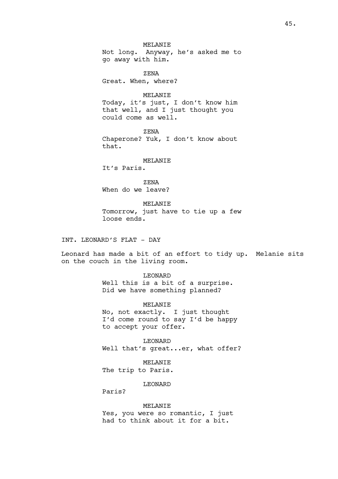# MELANIE

Not long. Anyway, he's asked me to go away with him.

ZENA Great. When, where?

MELANIE Today, it's just, I don't know him that well, and I just thought you could come as well.

ZENA Chaperone? Yuk, I don't know about that.

# MELANIE

It's Paris.

ZENA When do we leave?

MELANIE Tomorrow, just have to tie up a few loose ends.

INT. LEONARD'S FLAT - DAY

Leonard has made a bit of an effort to tidy up. Melanie sits on the couch in the living room.

LEONARD

Well this is a bit of a surprise. Did we have something planned?

MELANIE No, not exactly. I just thought I'd come round to say I'd be happy to accept your offer.

LEONARD Well that's great...er, what offer?

MELANIE The trip to Paris.

LEONARD

Paris?

### MELANIE

Yes, you were so romantic, I just had to think about it for a bit.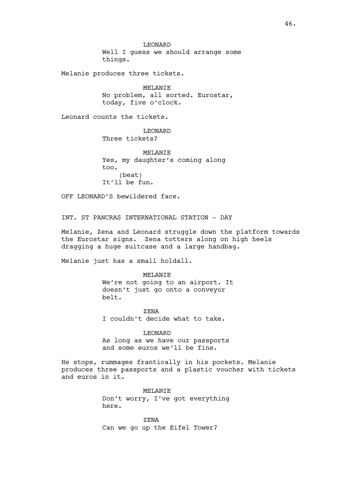LEONARD Well I guess we should arrange some things.

Melanie produces three tickets.

MELANIE No problem, all sorted. Eurostar, today, five o'clock.

Leonard counts the tickets.

LEONARD Three tickets?

MELANIE Yes, my daughter's coming along too. (beat) It'll be fun.

OFF LEONARD'S bewildered face.

INT. ST PANCRAS INTERNATIONAL STATION - DAY

Melanie, Zena and Leonard struggle down the platform towards the Eurostar signs. Zena totters along on high heels dragging a huge suitcase and a large handbag.

Melanie just has a small holdall.

MELANIE We're not going to an airport. It doesn't just go onto a conveyor belt.

ZENA I couldn't decide what to take.

LEONARD As long as we have our passports and some euros we'll be fine.

He stops, rummages frantically in his pockets. Melanie produces three passports and a plastic voucher with tickets and euros in it.

> MELANIE Don't worry, I've got everything here.

ZENA Can we go up the Eifel Tower?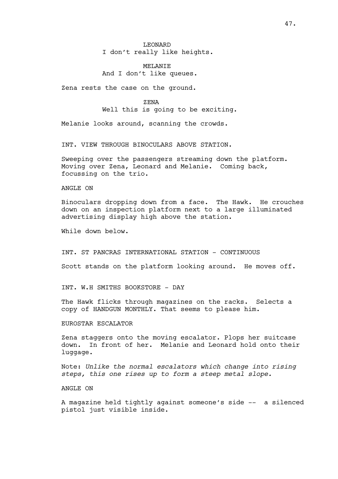# LEONARD I don't really like heights.

# MELANIE And I don't like queues.

Zena rests the case on the ground.

ZENA Well this is going to be exciting.

Melanie looks around, scanning the crowds.

INT. VIEW THROUGH BINOCULARS ABOVE STATION.

Sweeping over the passengers streaming down the platform. Moving over Zena, Leonard and Melanie. Coming back, focussing on the trio.

# ANGLE ON

Binoculars dropping down from a face. The Hawk. He crouches down on an inspection platform next to a large illuminated advertising display high above the station.

While down below.

INT. ST PANCRAS INTERNATIONAL STATION - CONTINUOUS

Scott stands on the platform looking around. He moves off.

INT. W.H SMITHS BOOKSTORE - DAY

The Hawk flicks through magazines on the racks. Selects a copy of HANDGUN MONTHLY. That seems to please him.

# EUROSTAR ESCALATOR

Zena staggers onto the moving escalator. Plops her suitcase down. In front of her. Melanie and Leonard hold onto their luggage.

Note: *Unlike the normal escalators which change into rising steps, this one rises up to form a steep metal slope.*

### ANGLE ON

A magazine held tightly against someone's side -- a silenced pistol just visible inside.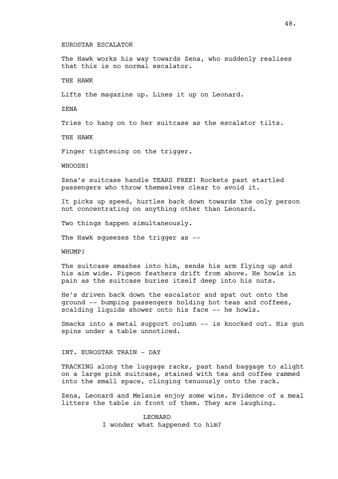#### EUROSTAR ESCALATOR

The Hawk works his way towards Zena, who suddenly realises that this is no normal escalator.

# THE HAWK

Lifts the magazine up. Lines it up on Leonard.

ZENA

Tries to hang on to her suitcase as the escalator tilts.

THE HAWK

Finger tightening on the trigger.

WHOOSH!

Zena's suitcase handle TEARS FREE! Rockets past startled passengers who throw themselves clear to avoid it.

It picks up speed, hurtles back down towards the only person not concentrating on anything other than Leonard.

Two things happen simultaneously.

The Hawk squeezes the trigger as --

WHUMP!

The suitcase smashes into him, sends his arm flying up and his aim wide. Pigeon feathers drift from above. He howls in pain as the suitcase buries itself deep into his nuts.

He's driven back down the escalator and spat out onto the ground -- bumping passengers holding hot teas and coffees, scalding liquids shower onto his face -- he howls.

Smacks into a metal support column -- is knocked out. His gun spins under a table unnoticed.

INT. EUROSTAR TRAIN - DAY

TRACKING along the luggage racks, past hand baggage to alight on a large pink suitcase, stained with tea and coffee rammed into the small space, clinging tenuously onto the rack.

Zena, Leonard and Melanie enjoy some wine. Evidence of a meal litters the table in front of them. They are laughing.

> LEONARD I wonder what happened to him?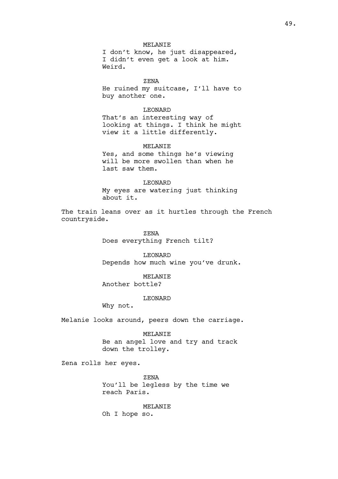I don't know, he just disappeared, I didn't even get a look at him. Weird.

ZENA He ruined my suitcase, I'll have to buy another one.

### LEONARD

That's an interesting way of looking at things. I think he might view it a little differently.

# MELANIE

Yes, and some things he's viewing will be more swollen than when he last saw them.

### LEONARD

My eyes are watering just thinking about it.

The train leans over as it hurtles through the French countryside.

> ZENA Does everything French tilt?

LEONARD Depends how much wine you've drunk.

MELANIE Another bottle?

# LEONARD

Why not.

Melanie looks around, peers down the carriage.

MELANTE

Be an angel love and try and track down the trolley.

Zena rolls her eyes.

ZENA You'll be legless by the time we reach Paris.

### MELANIE

Oh I hope so.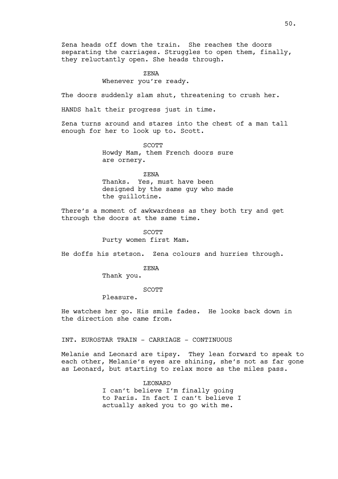Zena heads off down the train. She reaches the doors separating the carriages. Struggles to open them, finally, they reluctantly open. She heads through.

# ZENA

Whenever you're ready.

The doors suddenly slam shut, threatening to crush her.

HANDS halt their progress just in time.

Zena turns around and stares into the chest of a man tall enough for her to look up to. Scott.

> SCOTT Howdy Mam, them French doors sure are ornery.

> ZENA Thanks. Yes, must have been designed by the same guy who made the guillotine.

There's a moment of awkwardness as they both try and get through the doors at the same time.

> SCOTT Purty women first Mam.

He doffs his stetson. Zena colours and hurries through.

ZENA

Thank you.

SCOTT

Pleasure.

He watches her go. His smile fades. He looks back down in the direction she came from.

INT. EUROSTAR TRAIN - CARRIAGE - CONTINUOUS

Melanie and Leonard are tipsy. They lean forward to speak to each other, Melanie's eyes are shining, she's not as far gone as Leonard, but starting to relax more as the miles pass.

> LEONARD I can't believe I'm finally going to Paris. In fact I can't believe I actually asked you to go with me.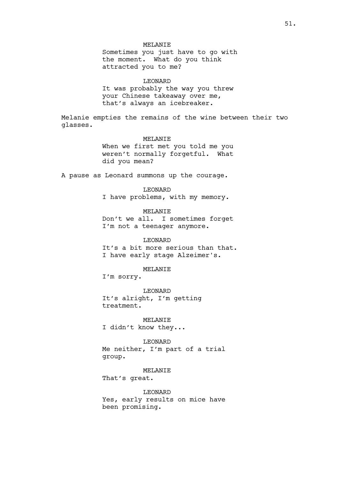# MELANIE

Sometimes you just have to go with the moment. What do you think attracted you to me?

LEONARD It was probably the way you threw your Chinese takeaway over me, that's always an icebreaker.

Melanie empties the remains of the wine between their two glasses.

# MELANIE

When we first met you told me you weren't normally forgetful. What did you mean?

A pause as Leonard summons up the courage.

LEONARD

I have problems, with my memory.

MELANIE

Don't we all. I sometimes forget I'm not a teenager anymore.

LEONARD It's a bit more serious than that. I have early stage Alzeimer's.

MELANIE

I'm sorry.

LEONARD It's alright, I'm getting treatment.

MELANIE I didn't know they...

LEONARD Me neither, I'm part of a trial group.

MELANIE

That's great.

LEONARD Yes, early results on mice have been promising.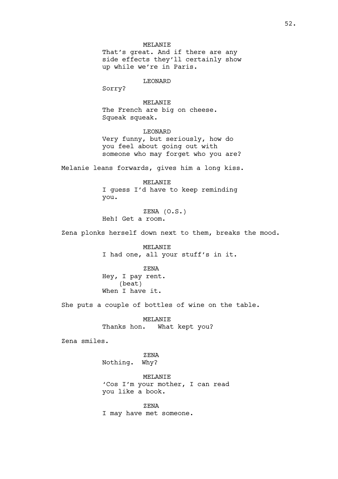LEONARD

Sorry?

MELANIE The French are big on cheese. Squeak squeak.

LEONARD Very funny, but seriously, how do you feel about going out with someone who may forget who you are?

Melanie leans forwards, gives him a long kiss.

MELANIE I guess I'd have to keep reminding you.

ZENA (O.S.) Heh! Get a room.

Zena plonks herself down next to them, breaks the mood.

MELANIE I had one, all your stuff's in it.

ZENA Hey, I pay rent. (beat) When I have it.

She puts a couple of bottles of wine on the table.

MELANIE Thanks hon. What kept you?

Zena smiles.

ZENA Nothing. Why?

MELANIE 'Cos I'm your mother, I can read you like a book.

ZENA I may have met someone.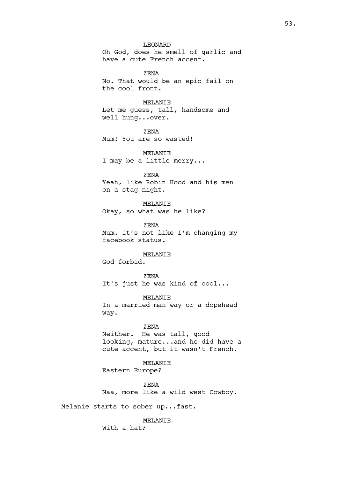### LEONARD

Oh God, does he smell of garlic and have a cute French accent.

ZENA No. That would be an epic fail on the cool front.

# MELANIE

Let me guess, tall, handsome and well hung...over.

ZENA Mum! You are so wasted!

MELANIE I may be a little merry...

ZENA Yeah, like Robin Hood and his men on a stag night.

MELANIE Okay, so what was he like?

ZENA Mum. It's not like I'm changing my facebook status.

# MELANIE

God forbid.

ZENA It's just he was kind of cool...

MELANIE In a married man way or a dopehead way.

#### ZENA

Neither. He was tall, good looking, mature...and he did have a cute accent, but it wasn't French.

MELANIE Eastern Europe?

ZENA Naa, more like a wild west Cowboy.

Melanie starts to sober up...fast.

# MELANIE

With a hat?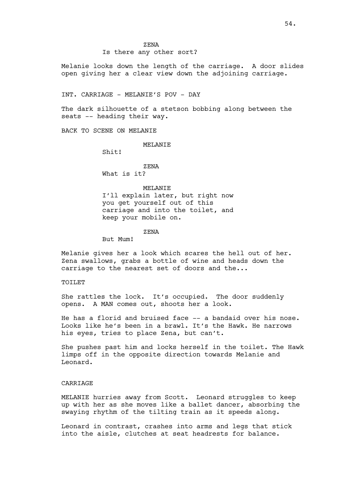### Is there any other sort?

Melanie looks down the length of the carriage. A door slides open giving her a clear view down the adjoining carriage.

#### INT. CARRIAGE - MELANIE'S POV - DAY

The dark silhouette of a stetson bobbing along between the seats -- heading their way.

BACK TO SCENE ON MELANIE

#### MELANIE

Shit!

# ZENA

What is it?

### MELANIE

I'll explain later, but right now you get yourself out of this carriage and into the toilet, and keep your mobile on.

### ZENA

But Mum!

Melanie gives her a look which scares the hell out of her. Zena swallows, grabs a bottle of wine and heads down the carriage to the nearest set of doors and the...

#### TOILET

She rattles the lock. It's occupied. The door suddenly opens. A MAN comes out, shoots her a look.

He has a florid and bruised face -- a bandaid over his nose. Looks like he's been in a brawl. It's the Hawk. He narrows his eyes, tries to place Zena, but can't.

She pushes past him and locks herself in the toilet. The Hawk limps off in the opposite direction towards Melanie and Leonard.

# CARRIAGE

MELANIE hurries away from Scott. Leonard struggles to keep up with her as she moves like a ballet dancer, absorbing the swaying rhythm of the tilting train as it speeds along.

Leonard in contrast, crashes into arms and legs that stick into the aisle, clutches at seat headrests for balance.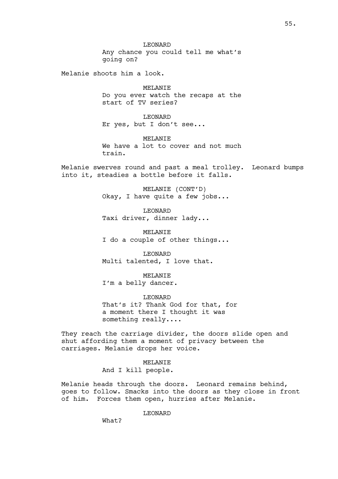LEONARD Any chance you could tell me what's going on?

Melanie shoots him a look.

MELANIE Do you ever watch the recaps at the start of TV series?

LEONARD Er yes, but I don't see...

MELANIE We have a lot to cover and not much train.

Melanie swerves round and past a meal trolley. Leonard bumps into it, steadies a bottle before it falls.

> MELANIE (CONT'D) Okay, I have quite a few jobs...

LEONARD Taxi driver, dinner lady...

MELANIE I do a couple of other things...

LEONARD Multi talented, I love that.

MELANIE I'm a belly dancer.

LEONARD That's it? Thank God for that, for a moment there I thought it was something really....

They reach the carriage divider, the doors slide open and shut affording them a moment of privacy between the carriages. Melanie drops her voice.

> MELANIE And I kill people.

Melanie heads through the doors. Leonard remains behind, goes to follow. Smacks into the doors as they close in front of him. Forces them open, hurries after Melanie.

LEONARD

What?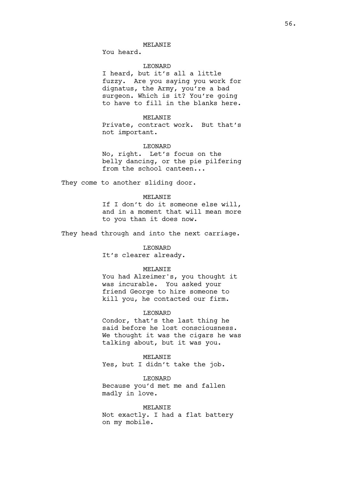You heard.

# LEONARD

I heard, but it's all a little fuzzy. Are you saying you work for dignatus, the Army, you're a bad surgeon. Which is it? You're going to have to fill in the blanks here.

# MELANTE

Private, contract work. But that's not important.

# LEONARD

No, right. Let's focus on the belly dancing, or the pie pilfering from the school canteen...

They come to another sliding door.

# MELANTE

If I don't do it someone else will, and in a moment that will mean more to you than it does now.

They head through and into the next carriage.

# LEONARD

It's clearer already.

# MELANIE

You had Alzeimer's, you thought it was incurable. You asked your friend George to hire someone to kill you, he contacted our firm.

# LEONARD

Condor, that's the last thing he said before he lost consciousness. We thought it was the cigars he was talking about, but it was you.

### MELANIE

Yes, but I didn't take the job.

LEONARD Because you'd met me and fallen madly in love.

#### MELANIE

Not exactly. I had a flat battery on my mobile.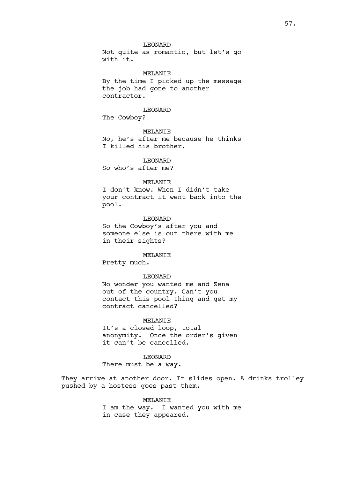# LEONARD

Not quite as romantic, but let's go with it.

MELANIE By the time I picked up the message the job had gone to another contractor.

# LEONARD

The Cowboy?

### MELANIE

No, he's after me because he thinks I killed his brother.

# LEONARD

So who's after me?

### MELANIE

I don't know. When I didn't take your contract it went back into the pool.

# LEONARD

So the Cowboy's after you and someone else is out there with me in their sights?

#### MELANIE

Pretty much.

# LEONARD

No wonder you wanted me and Zena out of the country. Can't you contact this pool thing and get my contract cancelled?

### MELANIE

It's a closed loop, total anonymity. Once the order's given it can't be cancelled.

# LEONARD

There must be a way.

They arrive at another door. It slides open. A drinks trolley pushed by a hostess goes past them.

# MELANIE I am the way. I wanted you with me in case they appeared.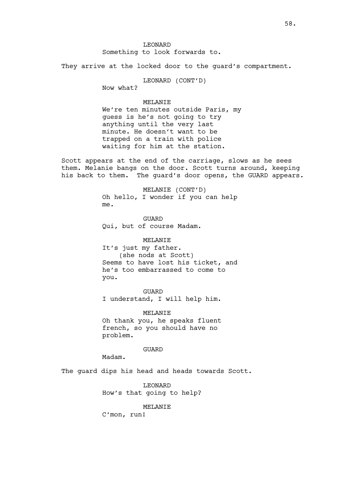LEONARD Something to look forwards to.

They arrive at the locked door to the quard's compartment.

LEONARD (CONT'D)

Now what?

# MELANIE

We're ten minutes outside Paris, my guess is he's not going to try anything until the very last minute. He doesn't want to be trapped on a train with police waiting for him at the station.

Scott appears at the end of the carriage, slows as he sees them. Melanie bangs on the door. Scott turns around, keeping his back to them. The guard's door opens, the GUARD appears.

> MELANIE (CONT'D) Oh hello, I wonder if you can help me.

GUARD Qui, but of course Madam.

# MELANIE

It's just my father. (she nods at Scott) Seems to have lost his ticket, and he's too embarrassed to come to you.

GUARD I understand, I will help him.

MELANIE Oh thank you, he speaks fluent french, so you should have no problem.

GUARD

Madam.

The guard dips his head and heads towards Scott.

LEONARD How's that going to help?

#### MELANIE

C'mon, run!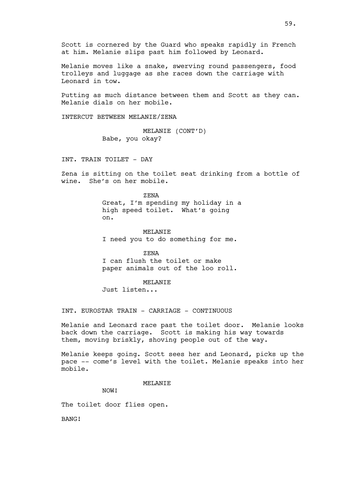Scott is cornered by the Guard who speaks rapidly in French at him. Melanie slips past him followed by Leonard.

Melanie moves like a snake, swerving round passengers, food trolleys and luggage as she races down the carriage with Leonard in tow.

Putting as much distance between them and Scott as they can. Melanie dials on her mobile.

INTERCUT BETWEEN MELANIE/ZENA

MELANIE (CONT'D) Babe, you okay?

INT. TRAIN TOILET - DAY

Zena is sitting on the toilet seat drinking from a bottle of wine. She's on her mobile.

> ZENA Great, I'm spending my holiday in a high speed toilet. What's going on.

MELANIE I need you to do something for me.

ZENA I can flush the toilet or make paper animals out of the loo roll.

MELANIE

Just listen...

INT. EUROSTAR TRAIN - CARRIAGE - CONTINUOUS

Melanie and Leonard race past the toilet door. Melanie looks back down the carriage. Scott is making his way towards them, moving briskly, shoving people out of the way.

Melanie keeps going. Scott sees her and Leonard, picks up the pace -- come's level with the toilet. Melanie speaks into her mobile.

MELANIE

NOW!

The toilet door flies open.

BANG!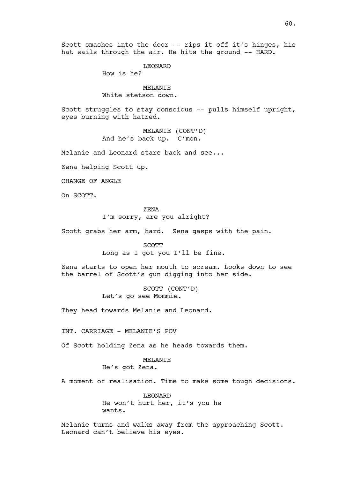Scott smashes into the door -- rips it off it's hinges, his hat sails through the air. He hits the ground -- HARD.

LEONARD

How is he?

MELANIE White stetson down.

Scott struggles to stay conscious -- pulls himself upright, eyes burning with hatred.

> MELANIE (CONT'D) And he's back up. C'mon.

Melanie and Leonard stare back and see...

Zena helping Scott up.

CHANGE OF ANGLE

On SCOTT.

# ZENA

I'm sorry, are you alright?

Scott grabs her arm, hard. Zena gasps with the pain.

#### SCOTT

Long as I got you I'll be fine.

Zena starts to open her mouth to scream. Looks down to see the barrel of Scott's gun digging into her side.

> SCOTT (CONT'D) Let's go see Mommie.

They head towards Melanie and Leonard.

INT. CARRIAGE - MELANIE'S POV

Of Scott holding Zena as he heads towards them.

# MELANTE

He's got Zena.

A moment of realisation. Time to make some tough decisions.

LEONARD He won't hurt her, it's you he wants.

Melanie turns and walks away from the approaching Scott. Leonard can't believe his eyes.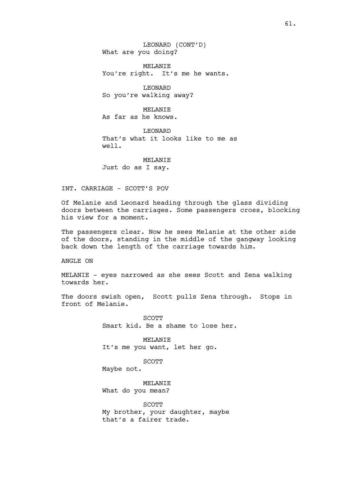LEONARD (CONT'D) What are you doing?

MELANIE You're right. It's me he wants.

LEONARD So you're walking away?

MELANIE As far as he knows.

LEONARD That's what it looks like to me as well.

MELANIE Just do as I say.

INT. CARRIAGE - SCOTT'S POV

Of Melanie and Leonard heading through the glass dividing doors between the carriages. Some passengers cross, blocking his view for a moment.

The passengers clear. Now he sees Melanie at the other side of the doors, standing in the middle of the gangway looking back down the length of the carriage towards him.

ANGLE ON

MELANIE - eyes narrowed as she sees Scott and Zena walking towards her.

The doors swish open, Scott pulls Zena through. Stops in front of Melanie.

> SCOTT Smart kid. Be a shame to lose her.

MELANIE It's me you want, let her go.

SCOTT

Maybe not.

MELANIE What do you mean?

SCOTT My brother, your daughter, maybe that's a fairer trade.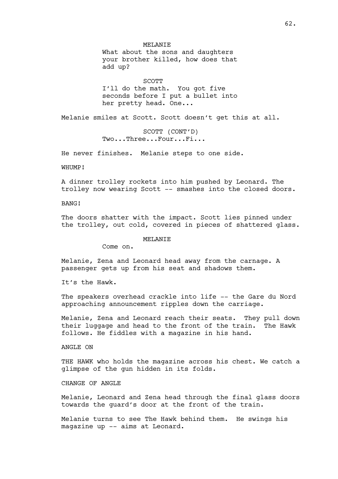MELANIE What about the sons and daughters your brother killed, how does that add up?

SCOTT

I'll do the math. You got five seconds before I put a bullet into her pretty head. One...

Melanie smiles at Scott. Scott doesn't get this at all.

SCOTT (CONT'D) Two...Three...Four...Fi...

He never finishes. Melanie steps to one side.

WHUMP!

A dinner trolley rockets into him pushed by Leonard. The trolley now wearing Scott -- smashes into the closed doors.

BANG!

The doors shatter with the impact. Scott lies pinned under the trolley, out cold, covered in pieces of shattered glass.

MELANIE

Come on.

Melanie, Zena and Leonard head away from the carnage. A passenger gets up from his seat and shadows them.

It's the Hawk.

The speakers overhead crackle into life -- the Gare du Nord approaching announcement ripples down the carriage.

Melanie, Zena and Leonard reach their seats. They pull down their luggage and head to the front of the train. The Hawk follows. He fiddles with a magazine in his hand.

ANGLE ON

THE HAWK who holds the magazine across his chest. We catch a glimpse of the gun hidden in its folds.

CHANGE OF ANGLE

Melanie, Leonard and Zena head through the final glass doors towards the guard's door at the front of the train.

Melanie turns to see The Hawk behind them. He swings his magazine up -- aims at Leonard.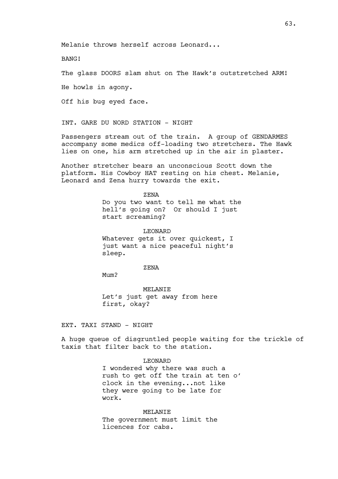Melanie throws herself across Leonard...

BANG!

The glass DOORS slam shut on The Hawk's outstretched ARM!

He howls in agony.

Off his bug eyed face.

INT. GARE DU NORD STATION - NIGHT

Passengers stream out of the train. A group of GENDARMES accompany some medics off-loading two stretchers. The Hawk lies on one, his arm stretched up in the air in plaster.

Another stretcher bears an unconscious Scott down the platform. His Cowboy HAT resting on his chest. Melanie, Leonard and Zena hurry towards the exit.

> ZENA Do you two want to tell me what the hell's going on? Or should I just start screaming?

LEONARD Whatever gets it over quickest, I just want a nice peaceful night's sleep.

ZENA

Mum?

MELANIE Let's just get away from here first, okay?

EXT. TAXI STAND - NIGHT

A huge queue of disgruntled people waiting for the trickle of taxis that filter back to the station.

# LEONARD

I wondered why there was such a rush to get off the train at ten o' clock in the evening...not like they were going to be late for work.

MELANIE The government must limit the licences for cabs.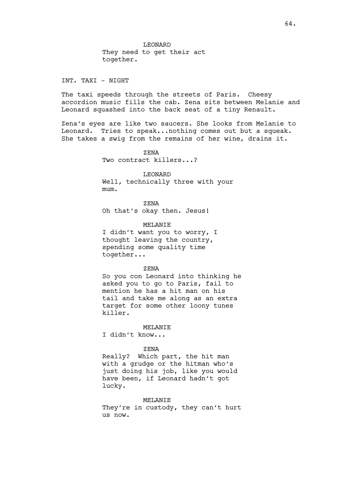LEONARD They need to get their act together.

INT. TAXI - NIGHT

The taxi speeds through the streets of Paris. Cheesy accordion music fills the cab. Zena sits between Melanie and Leonard squashed into the back seat of a tiny Renault.

Zena's eyes are like two saucers. She looks from Melanie to Leonard. Tries to speak...nothing comes out but a squeak. She takes a swig from the remains of her wine, drains it.

> ZENA Two contract killers...?

LEONARD Well, technically three with your mum.

ZENA Oh that's okay then. Jesus!

MELANIE I didn't want you to worry, I thought leaving the country, spending some quality time together...

ZENA

So you con Leonard into thinking he asked you to go to Paris, fail to mention he has a hit man on his tail and take me along as an extra target for some other loony tunes killer.

MELANIE

I didn't know...

# ZENA

Really? Which part, the hit man with a grudge or the hitman who's just doing his job, like you would have been, if Leonard hadn't got lucky.

MELANIE

They're in custody, they can't hurt us now.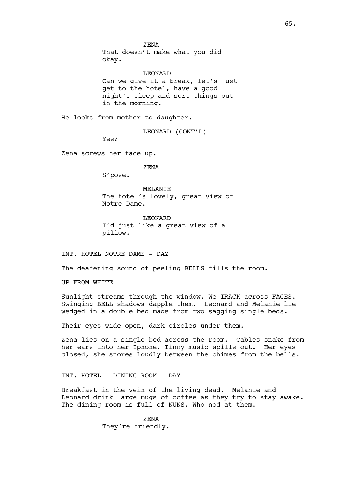ZENA That doesn't make what you did okay.

LEONARD Can we give it a break, let's just get to the hotel, have a good night's sleep and sort things out in the morning.

He looks from mother to daughter.

LEONARD (CONT'D)

Yes?

Zena screws her face up.

ZENA

S'pose.

MELANIE The hotel's lovely, great view of Notre Dame.

LEONARD I'd just like a great view of a pillow.

INT. HOTEL NOTRE DAME - DAY

The deafening sound of peeling BELLS fills the room.

UP FROM WHITE

Sunlight streams through the window. We TRACK across FACES. Swinging BELL shadows dapple them. Leonard and Melanie lie wedged in a double bed made from two sagging single beds.

Their eyes wide open, dark circles under them.

Zena lies on a single bed across the room. Cables snake from her ears into her Iphone. Tinny music spills out. Her eyes closed, she snores loudly between the chimes from the bells.

INT. HOTEL - DINING ROOM - DAY

Breakfast in the vein of the living dead. Melanie and Leonard drink large mugs of coffee as they try to stay awake. The dining room is full of NUNS. Who nod at them.

> ZENA They're friendly.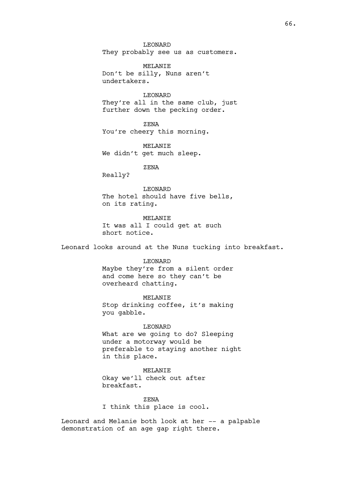LEONARD They probably see us as customers.

MELANIE Don't be silly, Nuns aren't undertakers.

LEONARD They're all in the same club, just further down the pecking order.

ZENA You're cheery this morning.

MELANIE We didn't get much sleep.

ZENA

Really?

LEONARD The hotel should have five bells, on its rating.

MELANIE It was all I could get at such short notice.

Leonard looks around at the Nuns tucking into breakfast.

LEONARD

Maybe they're from a silent order and come here so they can't be overheard chatting.

MELANIE Stop drinking coffee, it's making you gabble.

LEONARD What are we going to do? Sleeping under a motorway would be preferable to staying another night in this place.

MELANIE Okay we'll check out after breakfast.

ZENA I think this place is cool.

Leonard and Melanie both look at her -- a palpable demonstration of an age gap right there.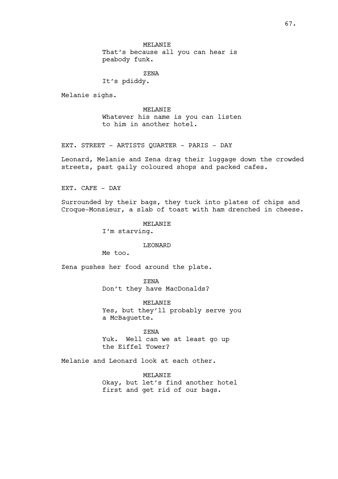MELANIE That's because all you can hear is peabody funk.

ZENA

It's pdiddy.

Melanie sighs.

MELANIE Whatever his name is you can listen to him in another hotel.

EXT. STREET - ARTISTS QUARTER - PARIS - DAY

Leonard, Melanie and Zena drag their luggage down the crowded streets, past gaily coloured shops and packed cafes.

EXT. CAFE - DAY

Surrounded by their bags, they tuck into plates of chips and Croque-Monsieur, a slab of toast with ham drenched in cheese.

MELANTE

I'm starving.

# LEONARD

Me too.

Zena pushes her food around the plate.

ZENA Don't they have MacDonalds?

MELANIE Yes, but they'll probably serve you a McBaguette.

ZENA Yuk. Well can we at least go up the Eiffel Tower?

Melanie and Leonard look at each other.

MELANIE Okay, but let's find another hotel first and get rid of our bags.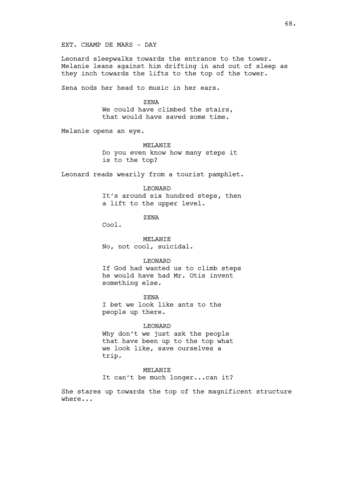EXT. CHAMP DE MARS - DAY

Leonard sleepwalks towards the entrance to the tower. Melanie leans against him drifting in and out of sleep as they inch towards the lifts to the top of the tower.

Zena nods her head to music in her ears.

### ZENA

We could have climbed the stairs, that would have saved some time.

Melanie opens an eye.

#### MELANIE

Do you even know how many steps it is to the top?

Leonard reads wearily from a tourist pamphlet.

#### LEONARD

It's around six hundred steps, then a lift to the upper level.

ZENA

Cool.

MELANIE No, not cool, suicidal.

### LEONARD

If God had wanted us to climb steps he would have had Mr. Otis invent something else.

ZENA

I bet we look like ants to the people up there.

### LEONARD

Why don't we just ask the people that have been up to the top what we look like, save ourselves a trip.

# MELANIE

It can't be much longer...can it?

She stares up towards the top of the magnificent structure where...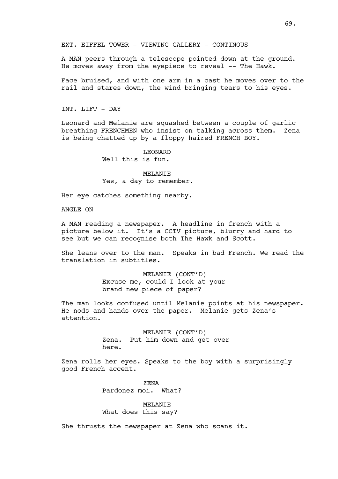A MAN peers through a telescope pointed down at the ground. He moves away from the eyepiece to reveal -- The Hawk.

Face bruised, and with one arm in a cast he moves over to the rail and stares down, the wind bringing tears to his eyes.

INT. LIFT - DAY

Leonard and Melanie are squashed between a couple of garlic breathing FRENCHMEN who insist on talking across them. Zena is being chatted up by a floppy haired FRENCH BOY.

> LEONARD Well this is fun.

MELANIE Yes, a day to remember.

Her eye catches something nearby.

ANGLE ON

A MAN reading a newspaper. A headline in french with a picture below it. It's a CCTV picture, blurry and hard to see but we can recognise both The Hawk and Scott.

She leans over to the man. Speaks in bad French. We read the translation in subtitles.

> MELANIE (CONT'D) Excuse me, could I look at your brand new piece of paper?

The man looks confused until Melanie points at his newspaper. He nods and hands over the paper. Melanie gets Zena's attention.

> MELANIE (CONT'D) Zena. Put him down and get over here.

Zena rolls her eyes. Speaks to the boy with a surprisingly good French accent.

> ZENA Pardonez moi. What?

MELANIE What does this say?

She thrusts the newspaper at Zena who scans it.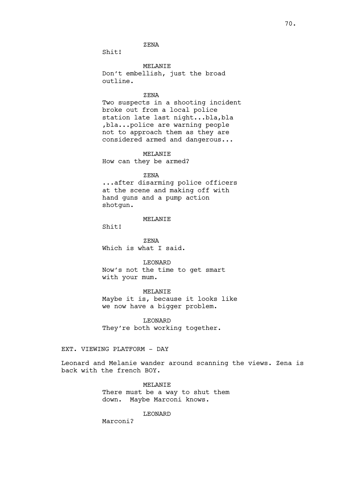# ZENA

Shit!

MELANIE Don't embellish, just the broad outline.

### ZENA

Two suspects in a shooting incident broke out from a local police station late last night...bla,bla ,bla...police are warning people not to approach them as they are considered armed and dangerous...

# MELANIE

How can they be armed?

# ZENA

...after disarming police officers at the scene and making off with hand guns and a pump action shotgun.

# MELANIE

Shit!

ZENA Which is what I said.

LEONARD

Now's not the time to get smart with your mum.

MELANIE Maybe it is, because it looks like we now have a bigger problem.

LEONARD They're both working together.

# EXT. VIEWING PLATFORM - DAY

Leonard and Melanie wander around scanning the views. Zena is back with the french BOY.

> MELANIE There must be a way to shut them down. Maybe Marconi knows.

> > LEONARD

Marconi?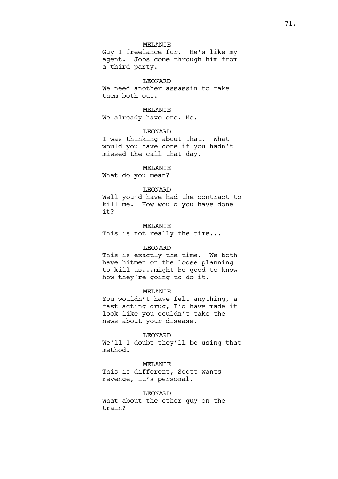# MELANIE

Guy I freelance for. He's like my agent. Jobs come through him from a third party.

# LEONARD

We need another assassin to take them both out.

# MELANIE

We already have one. Me.

### LEONARD

I was thinking about that. What would you have done if you hadn't missed the call that day.

#### MELANTE

What do you mean?

#### LEONARD

Well you'd have had the contract to kill me. How would you have done it?

#### MELANIE

This is not really the time...

# LEONARD

This is exactly the time. We both have hitmen on the loose planning to kill us...might be good to know how they're going to do it.

### MELANIE

You wouldn't have felt anything, a fast acting drug, I'd have made it look like you couldn't take the news about your disease.

### LEONARD

We'll I doubt they'll be using that method.

# MELANIE

This is different, Scott wants revenge, it's personal.

# LEONARD

What about the other guy on the train?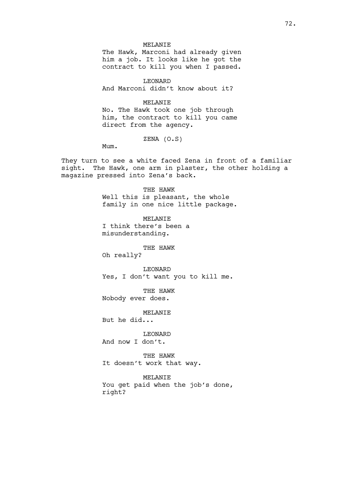### MELANIE

The Hawk, Marconi had already given him a job. It looks like he got the contract to kill you when I passed.

LEONARD And Marconi didn't know about it?

## MELANIE

No. The Hawk took one job through him, the contract to kill you came direct from the agency.

ZENA (O.S)

Mum.

They turn to see a white faced Zena in front of a familiar sight. The Hawk, one arm in plaster, the other holding a magazine pressed into Zena's back.

THE HAWK

Well this is pleasant, the whole family in one nice little package.

MELANIE I think there's been a misunderstanding.

THE HAWK Oh really?

LEONARD Yes, I don't want you to kill me.

THE HAWK Nobody ever does.

MELANIE

But he did...

LEONARD

And now I don't.

THE HAWK It doesn't work that way.

MELANIE You get paid when the job's done, right?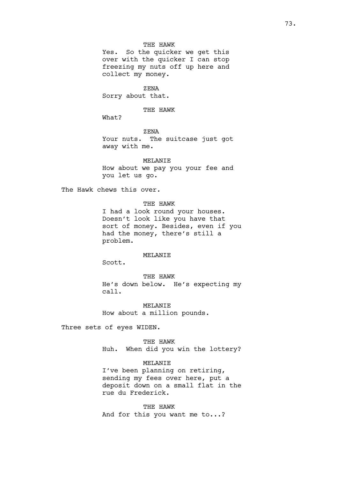## THE HAWK

Yes. So the quicker we get this over with the quicker I can stop freezing my nuts off up here and collect my money.

ZENA

Sorry about that.

THE HAWK

What?

ZENA

Your nuts. The suitcase just got away with me.

MELANIE

How about we pay you your fee and you let us go.

The Hawk chews this over.

THE HAWK

I had a look round your houses. Doesn't look like you have that sort of money. Besides, even if you had the money, there's still a problem.

#### MELANIE

Scott.

THE HAWK He's down below. He's expecting my call.

MELANIE How about a million pounds.

Three sets of eyes WIDEN.

THE HAWK Huh. When did you win the lottery?

# MELANIE

I've been planning on retiring, sending my fees over here, put a deposit down on a small flat in the rue du Frederick.

THE HAWK And for this you want me to...?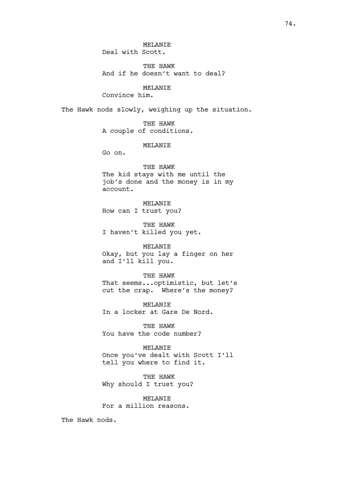THE HAWK And if he doesn't want to deal?

MELANIE

Convince him.

The Hawk nods slowly, weighing up the situation.

THE HAWK A couple of conditions.

MELANIE

Go on.

THE HAWK The kid stays with me until the job's done and the money is in my account.

MELANIE How can I trust you?

THE HAWK I haven't killed you yet.

MELANIE

Okay, but you lay a finger on her and I'll kill you.

THE HAWK That seems...optimistic, but let's

cut the crap. Where's the money?

MELANIE In a locker at Gare De Nord.

THE HAWK You have the code number?

MELANIE Once you've dealt with Scott I'll tell you where to find it.

THE HAWK Why should I trust you?

MELANIE For a million reasons.

The Hawk nods.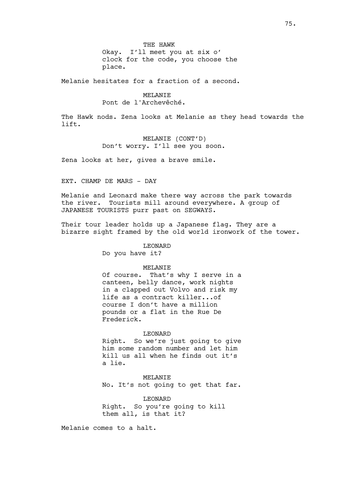THE HAWK Okay. I'll meet you at six o' clock for the code, you choose the place.

Melanie hesitates for a fraction of a second.

#### MELANIE

Pont de l'Archevêché.

The Hawk nods. Zena looks at Melanie as they head towards the lift.

# MELANIE (CONT'D)

Don't worry. I'll see you soon.

Zena looks at her, gives a brave smile.

EXT. CHAMP DE MARS - DAY

Melanie and Leonard make there way across the park towards the river. Tourists mill around everywhere. A group of JAPANESE TOURISTS purr past on SEGWAYS.

Their tour leader holds up a Japanese flag. They are a bizarre sight framed by the old world ironwork of the tower.

LEONARD

Do you have it?

## MELANIE

Of course. That's why I serve in a canteen, belly dance, work nights in a clapped out Volvo and risk my life as a contract killer...of course I don't have a million pounds or a flat in the Rue De Frederick.

#### LEONARD

Right. So we're just going to give him some random number and let him kill us all when he finds out it's a lie.

MELANIE No. It's not going to get that far.

LEONARD Right. So you're going to kill them all, is that it?

Melanie comes to a halt.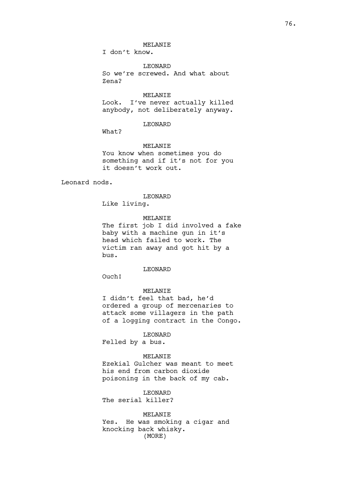## MELANIE

I don't know.

LEONARD So we're screwed. And what about Zena?

MELANIE Look. I've never actually killed anybody, not deliberately anyway.

## LEONARD

What?

MELANIE You know when sometimes you do something and if it's not for you it doesn't work out.

Leonard nods.

### LEONARD

Like living.

# MELANIE

The first job I did involved a fake baby with a machine gun in it's head which failed to work. The victim ran away and got hit by a bus.

## LEONARD

Ouch!

## MELANIE

I didn't feel that bad, he'd ordered a group of mercenaries to attack some villagers in the path of a logging contract in the Congo.

#### LEONARD

Felled by a bus.

### MELANIE

Ezekial Gulcher was meant to meet his end from carbon dioxide poisoning in the back of my cab.

LEONARD The serial killer?

MELANIE Yes. He was smoking a cigar and knocking back whisky. (MORE)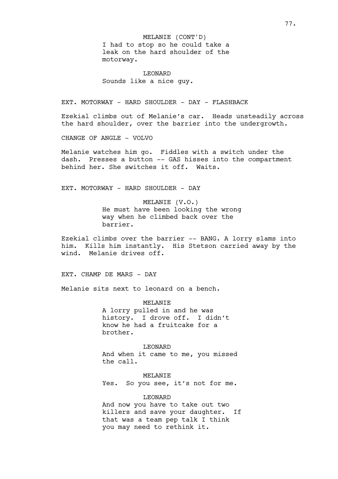I had to stop so he could take a leak on the hard shoulder of the motorway. MELANIE (CONT'D)

LEONARD Sounds like a nice guy.

EXT. MOTORWAY - HARD SHOULDER - DAY - FLASHBACK

Ezekial climbs out of Melanie's car. Heads unsteadily across the hard shoulder, over the barrier into the undergrowth.

CHANGE OF ANGLE - VOLVO

Melanie watches him go. Fiddles with a switch under the dash. Presses a button -- GAS hisses into the compartment behind her. She switches it off. Waits.

EXT. MOTORWAY - HARD SHOULDER - DAY

MELANIE (V.O.) He must have been looking the wrong way when he climbed back over the barrier.

Ezekial climbs over the barrier -- BANG. A lorry slams into him. Kills him instantly. His Stetson carried away by the wind. Melanie drives off.

EXT. CHAMP DE MARS - DAY

Melanie sits next to leonard on a bench.

MELANIE A lorry pulled in and he was history. I drove off. I didn't know he had a fruitcake for a brother.

LEONARD And when it came to me, you missed the call.

MELANIE Yes. So you see, it's not for me.

LEONARD

And now you have to take out two killers and save your daughter. If that was a team pep talk I think you may need to rethink it.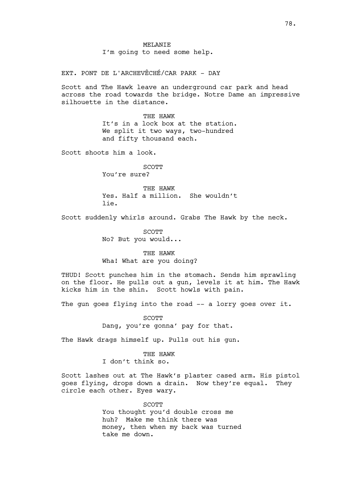MELANIE I'm going to need some help.

EXT. PONT DE L'ARCHEVÊCHÉ/CAR PARK - DAY

Scott and The Hawk leave an underground car park and head across the road towards the bridge. Notre Dame an impressive silhouette in the distance.

> THE HAWK It's in a lock box at the station. We split it two ways, two-hundred and fifty thousand each.

Scott shoots him a look.

SCOTT You're sure?

THE HAWK Yes. Half a million. She wouldn't lie.

Scott suddenly whirls around. Grabs The Hawk by the neck.

SCOTT No? But you would...

THE HAWK Wha! What are you doing?

THUD! Scott punches him in the stomach. Sends him sprawling on the floor. He pulls out a gun, levels it at him. The Hawk kicks him in the shin. Scott howls with pain.

The gun goes flying into the road -- a lorry goes over it.

SCOTT Dang, you're gonna' pay for that.

The Hawk drags himself up. Pulls out his gun.

THE HAWK I don't think so.

Scott lashes out at The Hawk's plaster cased arm. His pistol goes flying, drops down a drain. Now they're equal. They circle each other. Eyes wary.

> SCOTT You thought you'd double cross me huh? Make me think there was money, then when my back was turned take me down.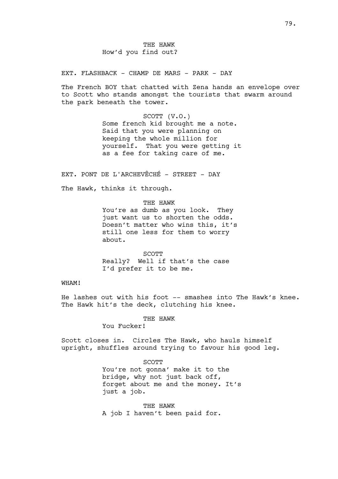EXT. FLASHBACK - CHAMP DE MARS - PARK - DAY

The French BOY that chatted with Zena hands an envelope over to Scott who stands amongst the tourists that swarm around the park beneath the tower.

> SCOTT (V.O.) Some french kid brought me a note. Said that you were planning on keeping the whole million for yourself. That you were getting it as a fee for taking care of me.

EXT. PONT DE L'ARCHEVÊCHÉ - STREET - DAY

The Hawk, thinks it through.

THE HAWK You're as dumb as you look. They just want us to shorten the odds. Doesn't matter who wins this, it's still one less for them to worry about.

**SCOTT** Really? Well if that's the case I'd prefer it to be me.

# WHAM!

He lashes out with his foot -- smashes into The Hawk's knee. The Hawk hit's the deck, clutching his knee.

THE HAWK

You Fucker!

Scott closes in. Circles The Hawk, who hauls himself upright, shuffles around trying to favour his good leg.

> SCOTT You're not gonna' make it to the bridge, why not just back off, forget about me and the money. It's just a job.

THE HAWK A job I haven't been paid for.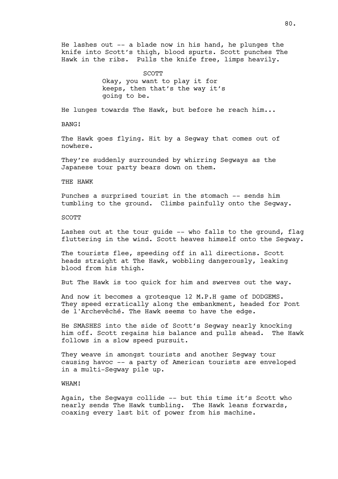He lashes out  $-$ - a blade now in his hand, he plunges the knife into Scott's thigh, blood spurts. Scott punches The Hawk in the ribs. Pulls the knife free, limps heavily.

> **SCOTT** Okay, you want to play it for keeps, then that's the way it's going to be.

He lunges towards The Hawk, but before he reach him...

BANG!

The Hawk goes flying. Hit by a Segway that comes out of nowhere.

They're suddenly surrounded by whirring Segways as the Japanese tour party bears down on them.

### THE HAWK

Punches a surprised tourist in the stomach -- sends him tumbling to the ground. Climbs painfully onto the Segway.

#### **SCOTT**

Lashes out at the tour guide -- who falls to the ground, flag fluttering in the wind. Scott heaves himself onto the Segway.

The tourists flee, speeding off in all directions. Scott heads straight at The Hawk, wobbling dangerously, leaking blood from his thigh.

But The Hawk is too quick for him and swerves out the way.

And now it becomes a grotesque 12 M.P.H game of DODGEMS. They speed erratically along the embankment, headed for Pont de l'Archevêché. The Hawk seems to have the edge.

He SMASHES into the side of Scott's Segway nearly knocking him off. Scott regains his balance and pulls ahead. The Hawk follows in a slow speed pursuit.

They weave in amongst tourists and another Segway tour causing havoc -- a party of American tourists are enveloped in a multi-Segway pile up.

# WHAM!

Again, the Segways collide -- but this time it's Scott who nearly sends The Hawk tumbling. The Hawk leans forwards, coaxing every last bit of power from his machine.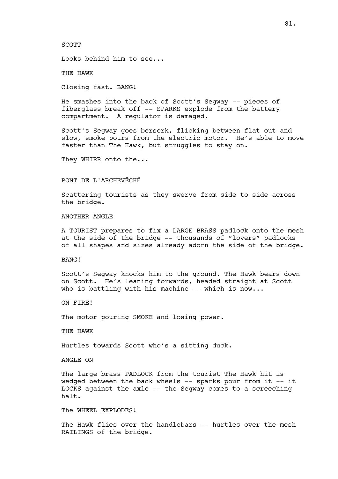#### SCOTT

Looks behind him to see...

THE HAWK

Closing fast. BANG!

He smashes into the back of Scott's Segway -- pieces of fiberglass break off -- SPARKS explode from the battery compartment. A regulator is damaged.

Scott's Segway goes berserk, flicking between flat out and slow, smoke pours from the electric motor. He's able to move faster than The Hawk, but struggles to stay on.

They WHIRR onto the...

## PONT DE L'ARCHEVÊCHÉ

Scattering tourists as they swerve from side to side across the bridge.

## ANOTHER ANGLE

A TOURIST prepares to fix a LARGE BRASS padlock onto the mesh at the side of the bridge -- thousands of "lovers" padlocks of all shapes and sizes already adorn the side of the bridge.

BANG!

Scott's Segway knocks him to the ground. The Hawk bears down on Scott. He's leaning forwards, headed straight at Scott who is battling with his machine  $--$  which is now...

ON FIRE!

The motor pouring SMOKE and losing power.

THE HAWK

Hurtles towards Scott who's a sitting duck.

ANGLE ON

The large brass PADLOCK from the tourist The Hawk hit is wedged between the back wheels -- sparks pour from it -- it LOCKS against the axle -- the Segway comes to a screeching halt.

The WHEEL EXPLODES!

The Hawk flies over the handlebars -- hurtles over the mesh RAILINGS of the bridge.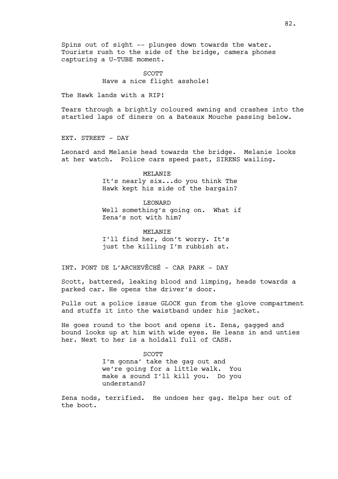Spins out of sight -- plunges down towards the water. Tourists rush to the side of the bridge, camera phones capturing a U-TUBE moment.

> **SCOTT** Have a nice flight asshole!

The Hawk lands with a RIP!

Tears through a brightly coloured awning and crashes into the startled laps of diners on a Bateaux Mouche passing below.

EXT. STREET - DAY

Leonard and Melanie head towards the bridge. Melanie looks at her watch. Police cars speed past, SIRENS wailing.

> MELANIE It's nearly six...do you think The Hawk kept his side of the bargain?

LEONARD Well something's going on. What if Zena's not with him?

MELANIE I'll find her, don't worry. It's just the killing I'm rubbish at.

INT. PONT DE L'ARCHEVÊCHÉ - CAR PARK - DAY

Scott, battered, leaking blood and limping, heads towards a parked car. He opens the driver's door.

Pulls out a police issue GLOCK gun from the glove compartment and stuffs it into the waistband under his jacket.

He goes round to the boot and opens it. Zena, gagged and bound looks up at him with wide eyes. He leans in and unties her. Next to her is a holdall full of CASH.

> SCOTT I'm gonna' take the gag out and we're going for a little walk. You make a sound I'll kill you. Do you understand?

Zena nods, terrified. He undoes her gag. Helps her out of the boot.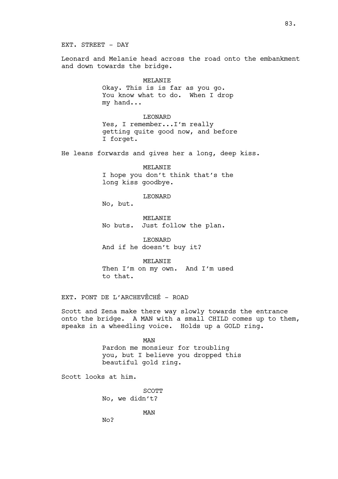EXT. STREET - DAY

Leonard and Melanie head across the road onto the embankment and down towards the bridge.

### MELANIE

Okay. This is is far as you go. You know what to do. When I drop my hand...

## LEONARD

Yes, I remember...I'm really getting quite good now, and before I forget.

He leans forwards and gives her a long, deep kiss.

## MELANIE

I hope you don't think that's the long kiss goodbye.

## LEONARD

No, but.

MELANIE No buts. Just follow the plan.

LEONARD And if he doesn't buy it?

MELANIE Then I'm on my own. And I'm used to that.

EXT. PONT DE L'ARCHEVÊCHÉ - ROAD

Scott and Zena make there way slowly towards the entrance onto the bridge. A MAN with a small CHILD comes up to them, speaks in a wheedling voice. Holds up a GOLD ring.

> MAN Pardon me monsieur for troubling you, but I believe you dropped this beautiful gold ring.

Scott looks at him.

SCOTT No, we didn't?

MAN

No?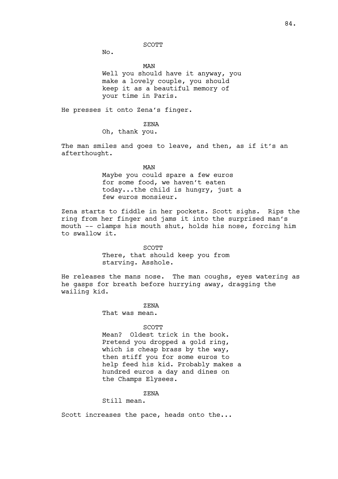#### SCOTT

No.

MAN Well you should have it anyway, you make a lovely couple, you should keep it as a beautiful memory of your time in Paris.

He presses it onto Zena's finger.

ZENA

Oh, thank you.

The man smiles and goes to leave, and then, as if it's an afterthought.

MAN

Maybe you could spare a few euros for some food, we haven't eaten today...the child is hungry, just a few euros monsieur.

Zena starts to fiddle in her pockets. Scott sighs. Rips the ring from her finger and jams it into the surprised man's mouth -- clamps his mouth shut, holds his nose, forcing him to swallow it.

SCOTT

There, that should keep you from starving. Asshole.

He releases the mans nose. The man coughs, eyes watering as he gasps for breath before hurrying away, dragging the wailing kid.

ZENA

That was mean.

#### SCOTT

Mean? Oldest trick in the book. Pretend you dropped a gold ring, which is cheap brass by the way, then stiff you for some euros to help feed his kid. Probably makes a hundred euros a day and dines on the Champs Elysees.

ZENA

Still mean.

Scott increases the pace, heads onto the...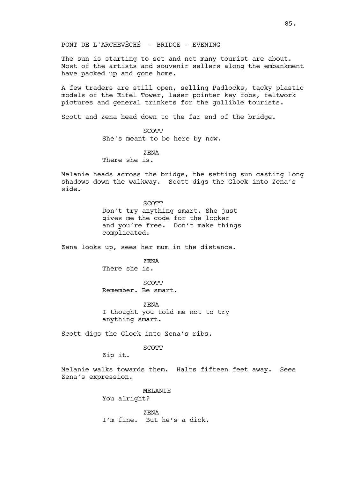PONT DE L'ARCHEVÊCHÉ - BRIDGE - EVENING

The sun is starting to set and not many tourist are about. Most of the artists and souvenir sellers along the embankment have packed up and gone home.

A few traders are still open, selling Padlocks, tacky plastic models of the Eifel Tower, laser pointer key fobs, feltwork pictures and general trinkets for the gullible tourists.

Scott and Zena head down to the far end of the bridge.

SCOTT She's meant to be here by now.

ZENA

There she is.

Melanie heads across the bridge, the setting sun casting long shadows down the walkway. Scott digs the Glock into Zena's side.

> **SCOTT** Don't try anything smart. She just gives me the code for the locker and you're free. Don't make things complicated.

Zena looks up, sees her mum in the distance.

ZENA There she is.

SCOTT Remember. Be smart.

ZENA I thought you told me not to try anything smart.

Scott digs the Glock into Zena's ribs.

SCOTT

Zip it.

Melanie walks towards them. Halts fifteen feet away. Sees Zena's expression.

> MELANIE You alright?

ZENA I'm fine. But he's a dick.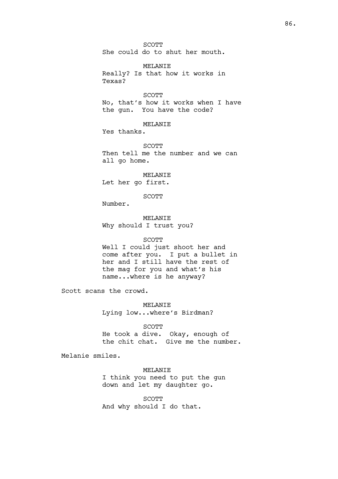SCOTT She could do to shut her mouth.

MELANIE Really? Is that how it works in Texas?

SCOTT No, that's how it works when I have the gun. You have the code?

MELANIE Yes thanks.

SCOTT Then tell me the number and we can all go home.

MELANIE Let her go first.

SCOTT

Number.

MELANIE Why should I trust you?

#### SCOTT

Well I could just shoot her and come after you. I put a bullet in her and I still have the rest of the mag for you and what's his name...where is he anyway?

Scott scans the crowd.

MELANIE Lying low...where's Birdman?

SCOTT

He took a dive. Okay, enough of the chit chat. Give me the number.

Melanie smiles.

MELANIE I think you need to put the gun down and let my daughter go.

SCOTT And why should I do that.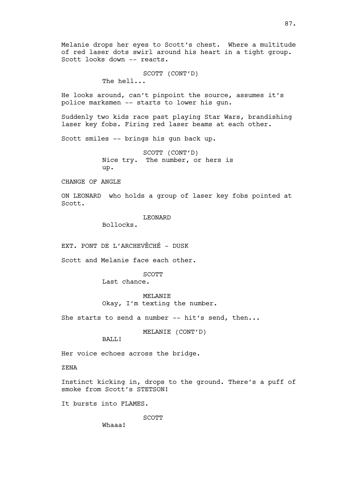Melanie drops her eyes to Scott's chest. Where a multitude of red laser dots swirl around his heart in a tight group. Scott looks down -- reacts.

> SCOTT (CONT'D) The hell...

He looks around, can't pinpoint the source, assumes it's police marksmen -- starts to lower his gun.

Suddenly two kids race past playing Star Wars, brandishing laser key fobs. Firing red laser beams at each other.

Scott smiles -- brings his gun back up.

SCOTT (CONT'D) Nice try. The number, or hers is up.

CHANGE OF ANGLE

ON LEONARD who holds a group of laser key fobs pointed at Scott.

LEONARD

Bollocks.

EXT. PONT DE L'ARCHEVÊCHÉ - DUSK

Scott and Melanie face each other.

SCOTT

Last chance.

MELANIE Okay, I'm texting the number.

She starts to send a number  $--$  hit's send, then...

MELANIE (CONT'D)

BALL!

Her voice echoes across the bridge.

ZENA

Instinct kicking in, drops to the ground. There's a puff of smoke from Scott's STETSON!

It bursts into FLAMES.

SCOTT

Whaaa!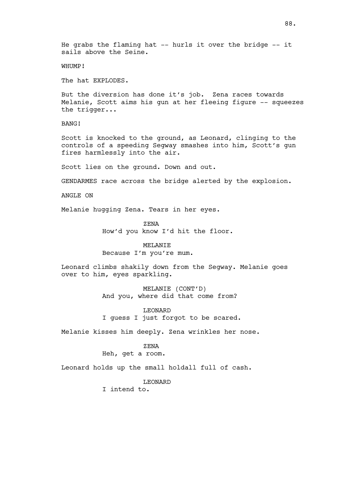He grabs the flaming hat -- hurls it over the bridge -- it sails above the Seine.

WHUMP!

The hat EXPLODES.

But the diversion has done it's job. Zena races towards Melanie, Scott aims his gun at her fleeing figure -- squeezes the trigger...

BANG!

Scott is knocked to the ground, as Leonard, clinging to the controls of a speeding Segway smashes into him, Scott's gun fires harmlessly into the air.

Scott lies on the ground. Down and out.

GENDARMES race across the bridge alerted by the explosion.

ANGLE ON

Melanie hugging Zena. Tears in her eyes.

ZENA How'd you know I'd hit the floor.

MELANIE Because I'm you're mum.

Leonard climbs shakily down from the Segway. Melanie goes over to him, eyes sparkling.

> MELANIE (CONT'D) And you, where did that come from?

LEONARD I guess I just forgot to be scared.

Melanie kisses him deeply. Zena wrinkles her nose.

ZENA

Heh, get a room.

Leonard holds up the small holdall full of cash.

LEONARD

I intend to.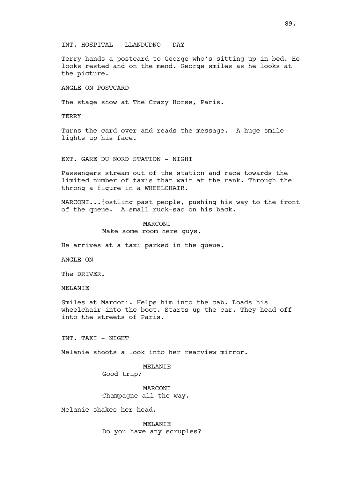INT. HOSPITAL - LLANDUDNO - DAY

Terry hands a postcard to George who's sitting up in bed. He looks rested and on the mend. George smiles as he looks at the picture.

ANGLE ON POSTCARD

The stage show at The Crazy Horse, Paris.

**TERRY** 

Turns the card over and reads the message. A huge smile lights up his face.

EXT. GARE DU NORD STATION - NIGHT

Passengers stream out of the station and race towards the limited number of taxis that wait at the rank. Through the throng a figure in a WHEELCHAIR.

MARCONI...jostling past people, pushing his way to the front of the queue. A small ruck-sac on his back.

## MARCONI

Make some room here guys.

He arrives at a taxi parked in the queue.

ANGLE ON

The DRIVER.

MELANIE

Smiles at Marconi. Helps him into the cab. Loads his wheelchair into the boot. Starts up the car. They head off into the streets of Paris.

INT. TAXI - NIGHT

Melanie shoots a look into her rearview mirror.

### MELANIE

Good trip?

MARCONI Champagne all the way.

Melanie shakes her head.

MELANIE Do you have any scruples?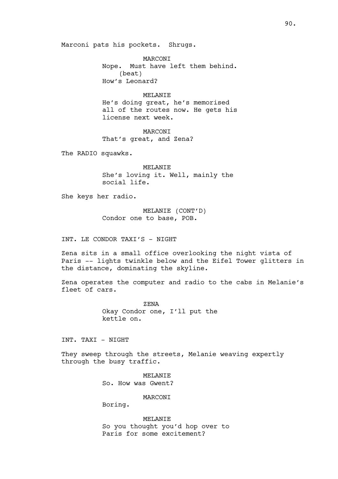Marconi pats his pockets. Shrugs.

MARCONI Nope. Must have left them behind. (beat) How's Leonard?

### MELANIE

He's doing great, he's memorised all of the routes now. He gets his license next week.

**MARCONT** That's great, and Zena?

The RADIO squawks.

**MELANTE** She's loving it. Well, mainly the social life.

She keys her radio.

MELANIE (CONT'D) Condor one to base, POB.

INT. LE CONDOR TAXI'S - NIGHT

Zena sits in a small office overlooking the night vista of Paris -- lights twinkle below and the Eifel Tower glitters in the distance, dominating the skyline.

Zena operates the computer and radio to the cabs in Melanie's fleet of cars.

> ZENA Okay Condor one, I'll put the kettle on.

INT. TAXI - NIGHT

They sweep through the streets, Melanie weaving expertly through the busy traffic.

> MELANIE So. How was Gwent?

> > **MARCONT**

Boring.

MELANIE So you thought you'd hop over to Paris for some excitement?